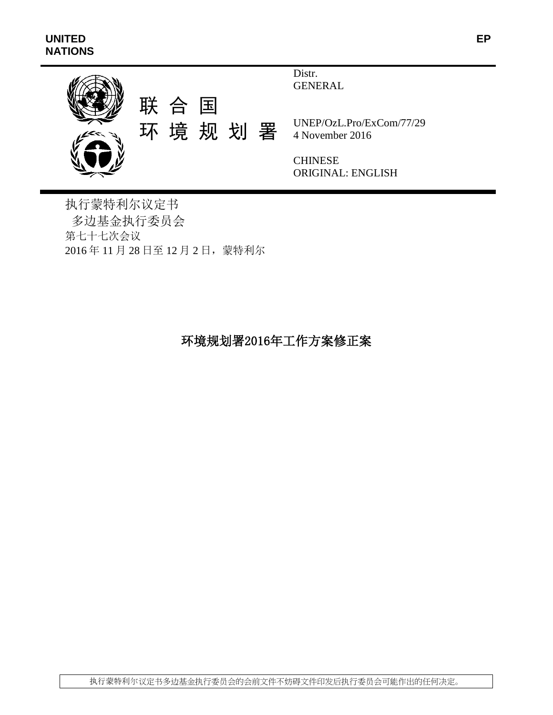

Distr. GENERAL

UNEP/OzL.Pro/ExCom/77/29 4 November 2016

**CHINESE** ORIGINAL: ENGLISH

执行蒙特利尔议定书 多边基金执行委员会 第七十七次会议 2016 年 11 月 28 日至 12 月 2 日,蒙特利尔

# 环境规划署2016年工作方案修正案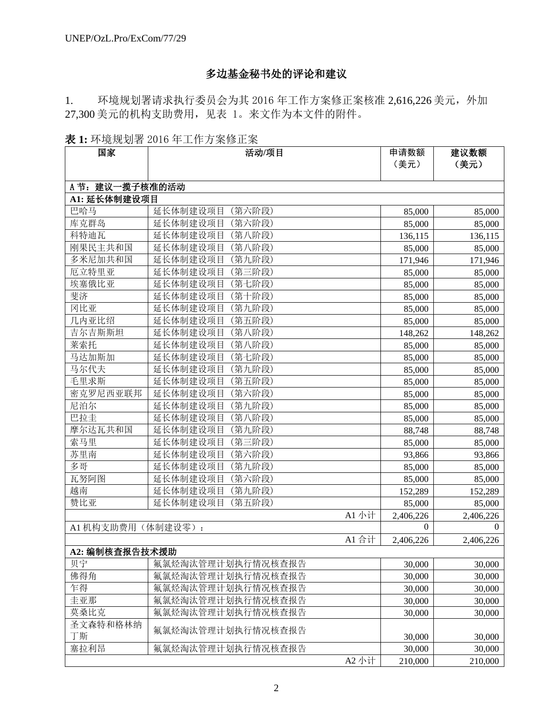# 多边基金秘书处的评论和建议

1. 环境规划署请求执行委员会为其 2016 年工作方案修正案核准 2,616,226 美元,外加 27,300 美元的机构支助费用,见表 1。来文作为本文件的附件。

表 **1:** 环境规划署 2016 年工作方案修正案

| 国家                | 活动/项目              | 申请数额      | 建议数额      |
|-------------------|--------------------|-----------|-----------|
|                   |                    | (美元)      | (美元)      |
|                   |                    |           |           |
| A 节: 建议一揽子核准的活动   |                    |           |           |
| A1: 延长体制建设项目      |                    |           |           |
| 巴哈马               | 延长体制建设项目<br>(第六阶段) | 85,000    | 85,000    |
| 库克群岛              | 延长体制建设项目<br>(第六阶段) | 85,000    | 85,000    |
| 科特迪瓦              | 延长体制建设项目<br>(第八阶段) | 136,115   | 136,115   |
| 刚果民主共和国           | 延长体制建设项目<br>(第八阶段) | 85,000    | 85,000    |
| 多米尼加共和国           | 延长体制建设项目<br>(第九阶段) | 171,946   | 171,946   |
| 厄立特里亚             | 延长体制建设项目<br>(第三阶段) | 85,000    | 85,000    |
| 埃塞俄比亚             | 延长体制建设项目<br>(第七阶段) | 85,000    | 85,000    |
| 斐济                | 延长体制建设项目<br>(第十阶段) | 85,000    | 85,000    |
| 冈比亚               | 延长体制建设项目<br>(第九阶段) | 85,000    | 85,000    |
| 几内亚比绍             | 延长体制建设项目<br>(第五阶段) | 85,000    | 85,000    |
| 吉尔吉斯斯坦            | (第八阶段)<br>延长体制建设项目 | 148,262   | 148,262   |
| 莱索托               | 延长体制建设项目<br>(第八阶段) | 85,000    | 85,000    |
| 马达加斯加             | 延长体制建设项目<br>(第七阶段) | 85,000    | 85,000    |
| 马尔代夫              | 延长体制建设项目<br>(第九阶段) | 85,000    | 85,000    |
| 毛里求斯              | 延长体制建设项目<br>(第五阶段) | 85,000    | 85,000    |
| 密克罗尼西亚联邦          | 延长体制建设项目<br>(第六阶段) | 85,000    | 85,000    |
| 尼泊尔               | 延长体制建设项目<br>(第九阶段) | 85,000    | 85,000    |
| 巴拉圭               | 延长体制建设项目<br>(第八阶段) | 85,000    | 85,000    |
| 摩尔达瓦共和国           | 延长体制建设项目<br>(第九阶段) | 88,748    | 88,748    |
| 索马里               | 延长体制建设项目<br>(第三阶段) | 85,000    | 85,000    |
| 苏里南               | 延长体制建设项目<br>(第六阶段) | 93,866    | 93,866    |
| 多哥                | 延长体制建设项目<br>(第九阶段) | 85,000    | 85,000    |
| 瓦努阿图              | (第六阶段)<br>延长体制建设项目 | 85,000    | 85,000    |
| 越南                | 延长体制建设项目<br>(第九阶段) | 152,289   | 152,289   |
| 赞比亚               | 延长体制建设项目<br>(第五阶段) | 85,000    | 85,000    |
|                   | A1 小计              | 2,406,226 | 2,406,226 |
| A1 机构支助费用(体制建设零): |                    | $\Omega$  | $\Omega$  |
|                   | A1 合计              | 2,406,226 | 2,406,226 |
| A2: 编制核查报告技术援助    |                    |           |           |
| 贝宁                | 氟氯烃淘汰管理计划执行情况核查报告  | 30,000    | 30,000    |
| 佛得角               | 氟氯烃淘汰管理计划执行情况核查报告  | 30,000    | 30,000    |
| 乍得                | 氟氯烃淘汰管理计划执行情况核查报告  | 30,000    | 30,000    |
| 圭亚那               | 氟氯烃淘汰管理计划执行情况核查报告  | 30,000    | 30,000    |
| 莫桑比克              | 氟氯烃淘汰管理计划执行情况核查报告  | 30,000    | 30,000    |
| 圣文森特和格林纳          |                    |           |           |
| 丁斯                | 氟氯烃淘汰管理计划执行情况核查报告  | 30,000    | 30,000    |
| 塞拉利昂              | 氟氯烃淘汰管理计划执行情况核查报告  | 30,000    | 30,000    |
|                   | A2 小计              | 210,000   | 210,000   |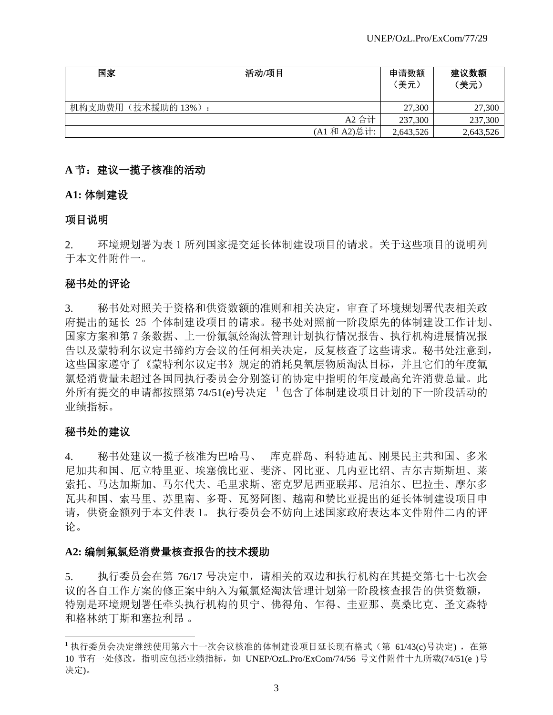| 国家                | 活动/项目 |              | 申请数额<br>(美元) | 建议数额<br>(美元) |
|-------------------|-------|--------------|--------------|--------------|
| 机构支助费用(技术援助的13%): |       |              | 27,300       | 27,300       |
|                   |       | A2 合计        | 237,300      | 237,300      |
|                   |       | (A1 和 A2)总计: | 2,643,526    | 2,643,526    |

# A 节: 建议一揽子核准的活动

**A1:** 体制建设

# 项目说明

2. 环境规划署为表 1 所列国家提交延长体制建设项目的请求。关于这些项目的说明列 于本文件附件一。

# 秘书处的评论

3. 秘书处对照关于资格和供资数额的准则和相关决定,审查了环境规划署代表相关政 府提出的延长 25 个体制建设项目的请求。秘书处对照前一阶段原先的体制建设工作计划、 国家方案和第 7 条数据、上一份氟氯烃淘汰管理计划执行情况报告、执行机构进展情况报 告以及蒙特利尔议定书缔约方会议的任何相关决定,反复核查了这些请求。秘书处注意到, 这些国家遵守了《蒙特利尔议定书》规定的消耗臭氧层物质淘汰目标,并且它们的年度氟 氯烃消费量未超过各国同执行委员会分别签订的协定中指明的年度最高允许消费总量。此 外所有提交的申请都按照第 74/51(e)号决定 1包含了体制建设项目计划的下一阶段活动的 业绩指标。

# 秘书处的建议

l

4. 秘书处建议一揽子核准为巴哈马、 库克群岛、科特迪瓦、刚果民主共和国、多米 尼加共和国、厄立特里亚、埃塞俄比亚、斐济、冈比亚、几内亚比绍、吉尔吉斯斯坦、莱 索托、马达加斯加、马尔代夫、毛里求斯、密克罗尼西亚联邦、尼泊尔、巴拉圭、摩尔多 瓦共和国、索马里、苏里南、多哥、瓦努阿图、越南和赞比亚提出的延长体制建设项目申 请,供资金额列于本文件表 1。 执行委员会不妨向上述国家政府表达本文件附件二内的评 论。

# **A2:** 编制氟氯烃消费量核查报告的技术援助

5. 执行委员会在第 76/17 号决定中,请相关的双边和执行机构在其提交第七十七次会 议的各自工作方案的修正案中纳入为氟氯烃淘汰管理计划第一阶段核查报告的供资数额, 特别是环境规划署任牵头执行机构的贝宁、佛得角、乍得、圭亚那、莫桑比克、圣文森特 和格林纳丁斯和塞拉利昂 。

<sup>&</sup>lt;sup>1</sup> 执行委员会决定继续使用第六十一次会议核准的体制建设项目延长现有格式(第 61/43(c)号决定), 在第 10 节有一处修改,指明应包括业绩指标,如 UNEP/OzL.Pro/ExCom/74/56 号文件附件十九所载(74/51(e )号 决定)。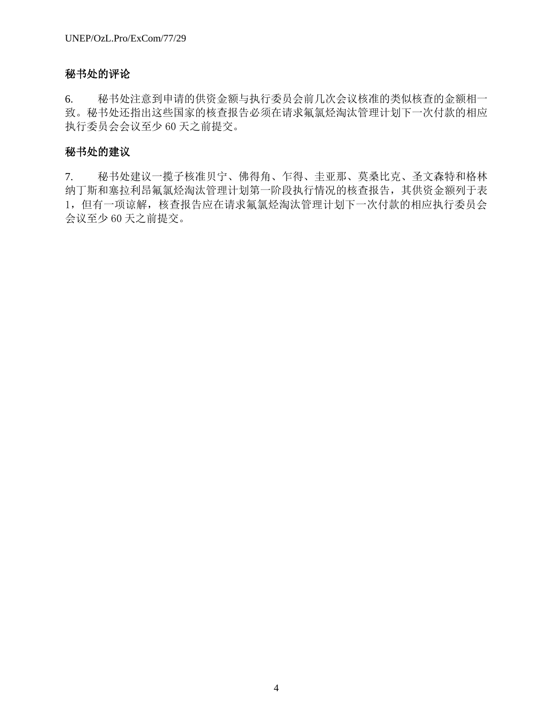# 秘书处的评论

6. 秘书处注意到申请的供资金额与执行委员会前几次会议核准的类似核查的金额相一 致。秘书处还指出这些国家的核查报告必须在请求氟氯烃淘汰管理计划下一次付款的相应 执行委员会会议至少 60 天之前提交。

# 秘书处的建议

7. 秘书处建议一揽子核准贝宁、佛得角、乍得、圭亚那、莫桑比克、圣文森特和格林 纳丁斯和塞拉利昂氟氯烃淘汰管理计划第一阶段执行情况的核查报告,其供资金额列于表 1,但有一项谅解,核查报告应在请求氟氯烃淘汰管理计划下一次付款的相应执行委员会 会议至少 60 天之前提交。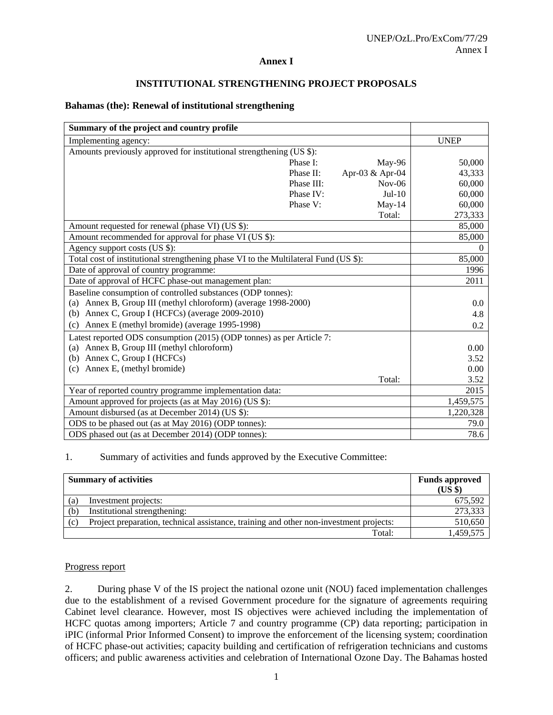## **Annex I**

#### **INSTITUTIONAL STRENGTHENING PROJECT PROPOSALS**

#### **Bahamas (the): Renewal of institutional strengthening**

| Summary of the project and country profile                                           |            |                 |             |
|--------------------------------------------------------------------------------------|------------|-----------------|-------------|
| Implementing agency:                                                                 |            |                 | <b>UNEP</b> |
| Amounts previously approved for institutional strengthening (US \$):                 |            |                 |             |
|                                                                                      | Phase I:   | May-96          | 50,000      |
|                                                                                      | Phase II:  | Apr-03 & Apr-04 | 43,333      |
|                                                                                      | Phase III: | $Nov-06$        | 60,000      |
|                                                                                      | Phase IV:  | $Jul-10$        | 60,000      |
|                                                                                      | Phase V:   | $May-14$        | 60,000      |
|                                                                                      |            | Total:          | 273,333     |
| Amount requested for renewal (phase VI) (US \$):                                     |            |                 | 85,000      |
| Amount recommended for approval for phase VI (US \$):                                |            |                 | 85,000      |
| Agency support costs (US \$):                                                        |            |                 | $\Omega$    |
| Total cost of institutional strengthening phase VI to the Multilateral Fund (US \$): |            |                 | 85,000      |
| Date of approval of country programme:                                               |            |                 | 1996        |
| Date of approval of HCFC phase-out management plan:                                  |            |                 | 2011        |
| Baseline consumption of controlled substances (ODP tonnes):                          |            |                 |             |
| (a) Annex B, Group III (methyl chloroform) (average 1998-2000)                       |            |                 | 0.0         |
| (b) Annex C, Group I (HCFCs) (average 2009-2010)                                     |            |                 | 4.8         |
| Annex E (methyl bromide) (average 1995-1998)<br>(c)                                  |            |                 | 0.2         |
| Latest reported ODS consumption (2015) (ODP tonnes) as per Article 7:                |            |                 |             |
| (a) Annex B, Group III (methyl chloroform)                                           |            |                 | 0.00        |
| (b) Annex C, Group I (HCFCs)                                                         |            |                 | 3.52        |
| Annex E, (methyl bromide)<br>(c)                                                     |            |                 | 0.00        |
|                                                                                      |            | Total:          | 3.52        |
| Year of reported country programme implementation data:                              |            |                 | 2015        |
| Amount approved for projects (as at May 2016) (US \$):                               |            |                 | 1,459,575   |
| Amount disbursed (as at December 2014) (US \$):                                      |            |                 | 1,220,328   |
| ODS to be phased out (as at May 2016) (ODP tonnes):                                  |            |                 | 79.0        |
| ODS phased out (as at December 2014) (ODP tonnes):                                   |            |                 | 78.6        |

#### 1. Summary of activities and funds approved by the Executive Committee:

|     | <b>Summary of activities</b>                                                           | <b>Funds approved</b><br>(US \$) |
|-----|----------------------------------------------------------------------------------------|----------------------------------|
| (a) | Investment projects:                                                                   | 675,592                          |
| (b) | Institutional strengthening:                                                           | 273,333                          |
| (c) | Project preparation, technical assistance, training and other non-investment projects: | 510,650                          |
|     | Total:                                                                                 | 1,459,575                        |

#### Progress report

2. During phase V of the IS project the national ozone unit (NOU) faced implementation challenges due to the establishment of a revised Government procedure for the signature of agreements requiring Cabinet level clearance. However, most IS objectives were achieved including the implementation of HCFC quotas among importers; Article 7 and country programme (CP) data reporting; participation in iPIC (informal Prior Informed Consent) to improve the enforcement of the licensing system; coordination of HCFC phase-out activities; capacity building and certification of refrigeration technicians and customs officers; and public awareness activities and celebration of International Ozone Day. The Bahamas hosted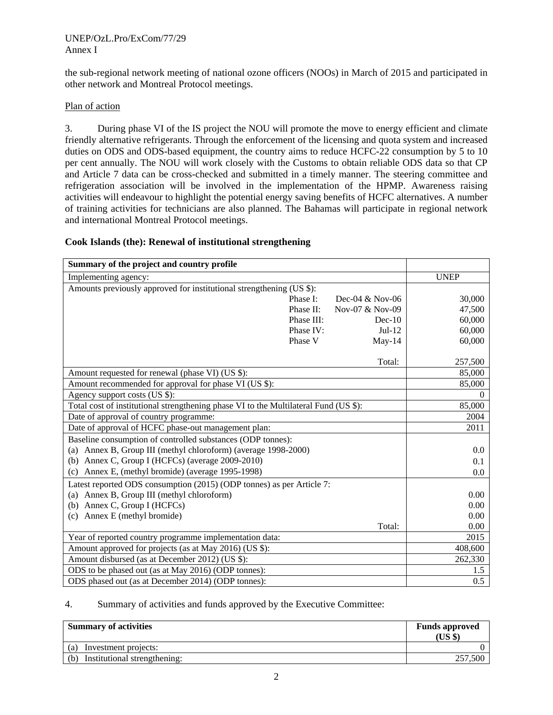#### UNEP/OzL.Pro/ExCom/77/29 Annex I

the sub-regional network meeting of national ozone officers (NOOs) in March of 2015 and participated in other network and Montreal Protocol meetings.

## Plan of action

3. During phase VI of the IS project the NOU will promote the move to energy efficient and climate friendly alternative refrigerants. Through the enforcement of the licensing and quota system and increased duties on ODS and ODS-based equipment, the country aims to reduce HCFC-22 consumption by 5 to 10 per cent annually. The NOU will work closely with the Customs to obtain reliable ODS data so that CP and Article 7 data can be cross-checked and submitted in a timely manner. The steering committee and refrigeration association will be involved in the implementation of the HPMP. Awareness raising activities will endeavour to highlight the potential energy saving benefits of HCFC alternatives. A number of training activities for technicians are also planned. The Bahamas will participate in regional network and international Montreal Protocol meetings.

### **Cook Islands (the): Renewal of institutional strengthening**

| Summary of the project and country profile                                           |            |                   |             |
|--------------------------------------------------------------------------------------|------------|-------------------|-------------|
| Implementing agency:                                                                 |            |                   | <b>UNEP</b> |
| Amounts previously approved for institutional strengthening (US \$):                 |            |                   |             |
|                                                                                      | Phase I:   | Dec-04 $&$ Nov-06 | 30,000      |
|                                                                                      | Phase II:  | Nov-07 & Nov-09   | 47,500      |
|                                                                                      | Phase III: | $Dec-10$          | 60,000      |
|                                                                                      | Phase IV:  | $Jul-12$          | 60,000      |
|                                                                                      | Phase V    | $May-14$          | 60,000      |
|                                                                                      |            | Total:            | 257,500     |
| Amount requested for renewal (phase VI) (US \$):                                     |            |                   | 85,000      |
| Amount recommended for approval for phase VI (US \$):                                |            |                   | 85,000      |
| Agency support costs (US \$):                                                        |            |                   | $\Omega$    |
| Total cost of institutional strengthening phase VI to the Multilateral Fund (US \$): |            |                   | 85,000      |
| Date of approval of country programme:                                               |            |                   | 2004        |
| Date of approval of HCFC phase-out management plan:                                  |            |                   | 2011        |
| Baseline consumption of controlled substances (ODP tonnes):                          |            |                   |             |
| (a) Annex B, Group III (methyl chloroform) (average 1998-2000)                       |            |                   | 0.0         |
| (b) Annex C, Group I (HCFCs) (average $2009-2010$ )                                  |            |                   | 0.1         |
| (c) Annex E, (methyl bromide) (average 1995-1998)                                    |            |                   | 0.0         |
| Latest reported ODS consumption (2015) (ODP tonnes) as per Article 7:                |            |                   |             |
| (a) Annex B, Group III (methyl chloroform)                                           |            |                   | 0.00        |
| (b) Annex C, Group I (HCFCs)                                                         |            |                   | 0.00        |
| (c) Annex E (methyl bromide)                                                         |            |                   | 0.00        |
|                                                                                      |            | Total:            | 0.00        |
| Year of reported country programme implementation data:                              |            |                   | 2015        |
| Amount approved for projects (as at May 2016) (US \$):                               |            |                   | 408,600     |
| Amount disbursed (as at December 2012) (US \$):                                      |            |                   | 262,330     |
| ODS to be phased out (as at May 2016) (ODP tonnes):                                  |            |                   | 1.5         |
| ODS phased out (as at December 2014) (ODP tonnes):                                   |            |                   | 0.5         |

### 4. Summary of activities and funds approved by the Executive Committee:

| <b>Summary of activities</b>        | <b>Funds approved</b><br>$(US \$ |
|-------------------------------------|----------------------------------|
| Investment projects:<br>(a)         |                                  |
| Institutional strengthening:<br>(b) | 257.500                          |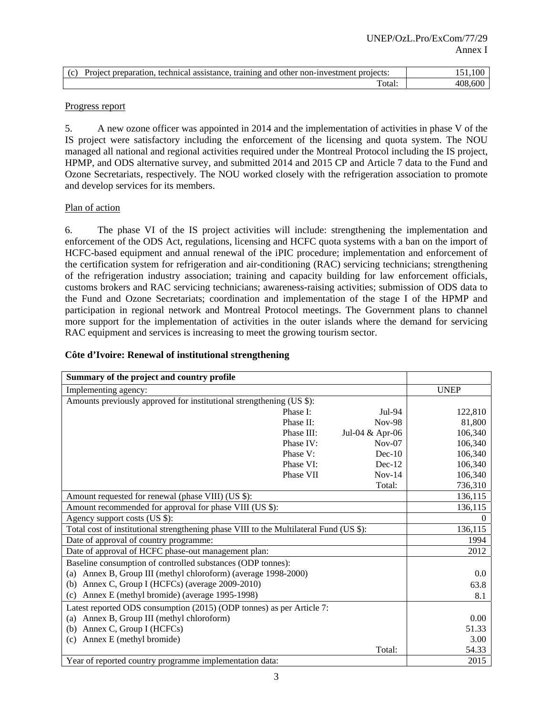| $\sqrt{2}$ | assistance.<br>training<br>non-investment '<br>technical<br>projects:<br>and other<br>preparation<br>- Project |             |
|------------|----------------------------------------------------------------------------------------------------------------|-------------|
|            | 'otal                                                                                                          | 408<br>.600 |

### Progress report

5. A new ozone officer was appointed in 2014 and the implementation of activities in phase V of the IS project were satisfactory including the enforcement of the licensing and quota system. The NOU managed all national and regional activities required under the Montreal Protocol including the IS project, HPMP, and ODS alternative survey, and submitted 2014 and 2015 CP and Article 7 data to the Fund and Ozone Secretariats, respectively. The NOU worked closely with the refrigeration association to promote and develop services for its members.

### Plan of action

6. The phase VI of the IS project activities will include: strengthening the implementation and enforcement of the ODS Act, regulations, licensing and HCFC quota systems with a ban on the import of HCFC-based equipment and annual renewal of the iPIC procedure; implementation and enforcement of the certification system for refrigeration and air-conditioning (RAC) servicing technicians; strengthening of the refrigeration industry association; training and capacity building for law enforcement officials, customs brokers and RAC servicing technicians; awareness-raising activities; submission of ODS data to the Fund and Ozone Secretariats; coordination and implementation of the stage I of the HPMP and participation in regional network and Montreal Protocol meetings. The Government plans to channel more support for the implementation of activities in the outer islands where the demand for servicing RAC equipment and services is increasing to meet the growing tourism sector.

| Summary of the project and country profile                                             |            |                 |             |
|----------------------------------------------------------------------------------------|------------|-----------------|-------------|
| Implementing agency:                                                                   |            |                 | <b>UNEP</b> |
| Amounts previously approved for institutional strengthening (US \$):                   |            |                 |             |
|                                                                                        | Phase I:   | Jul-94          | 122,810     |
|                                                                                        | Phase II:  | <b>Nov-98</b>   | 81,800      |
|                                                                                        | Phase III: | Jul-04 & Apr-06 | 106,340     |
|                                                                                        | Phase IV:  | $Nov-07$        | 106,340     |
|                                                                                        | Phase V:   | $Dec-10$        | 106,340     |
|                                                                                        | Phase VI:  | $Dec-12$        | 106,340     |
|                                                                                        | Phase VII  | $Nov-14$        | 106,340     |
|                                                                                        |            | Total:          | 736,310     |
| Amount requested for renewal (phase VIII) (US \$):                                     |            |                 | 136,115     |
| Amount recommended for approval for phase VIII (US \$):                                |            |                 | 136,115     |
| Agency support costs (US \$):                                                          |            |                 | $\theta$    |
| Total cost of institutional strengthening phase VIII to the Multilateral Fund (US \$): |            |                 | 136,115     |
| Date of approval of country programme:                                                 |            |                 | 1994        |
| Date of approval of HCFC phase-out management plan:                                    |            |                 | 2012        |
| Baseline consumption of controlled substances (ODP tonnes):                            |            |                 |             |
| (a) Annex B, Group III (methyl chloroform) (average 1998-2000)                         |            |                 | 0.0         |
| (b) Annex C, Group I (HCFCs) (average 2009-2010)                                       |            |                 | 63.8        |
| (c) Annex E (methyl bromide) (average 1995-1998)                                       |            |                 | 8.1         |
| Latest reported ODS consumption (2015) (ODP tonnes) as per Article 7:                  |            |                 |             |
| (a) Annex B, Group III (methyl chloroform)                                             |            |                 | 0.00        |
| (b) Annex C, Group I (HCFCs)                                                           |            |                 | 51.33       |
| Annex E (methyl bromide)<br>(c)                                                        |            |                 | 3.00        |
|                                                                                        |            | Total:          | 54.33       |
| Year of reported country programme implementation data:                                |            |                 | 2015        |

## **Côte d'Ivoire: Renewal of institutional strengthening**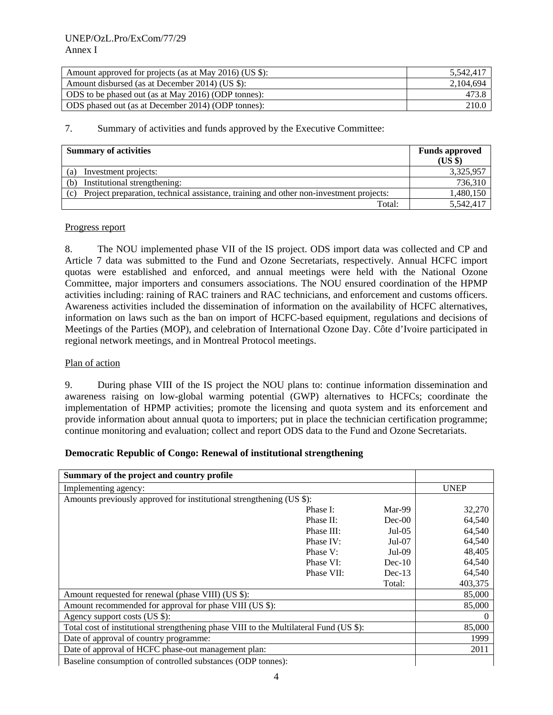| Amount approved for projects (as at May 2016) (US \$): | 5.542.417 |
|--------------------------------------------------------|-----------|
| Amount disbursed (as at December 2014) (US \$):        | 2.104.694 |
| ODS to be phased out (as at May 2016) (ODP tonnes):    | 473.8     |
| ODS phased out (as at December 2014) (ODP tonnes):     | 210.0     |

| <b>Summary of activities</b>                                                                  | <b>Funds approved</b><br>(US \$) |
|-----------------------------------------------------------------------------------------------|----------------------------------|
| Investment projects:<br>(a)                                                                   | 3,325,957                        |
| Institutional strengthening:<br>(b)                                                           | 736,310                          |
| Project preparation, technical assistance, training and other non-investment projects:<br>(c) | 1,480,150                        |
| Total:                                                                                        | 5,542,417                        |

#### Progress report

8. The NOU implemented phase VII of the IS project. ODS import data was collected and CP and Article 7 data was submitted to the Fund and Ozone Secretariats, respectively. Annual HCFC import quotas were established and enforced, and annual meetings were held with the National Ozone Committee, major importers and consumers associations. The NOU ensured coordination of the HPMP activities including: raining of RAC trainers and RAC technicians, and enforcement and customs officers. Awareness activities included the dissemination of information on the availability of HCFC alternatives, information on laws such as the ban on import of HCFC-based equipment, regulations and decisions of Meetings of the Parties (MOP), and celebration of International Ozone Day. Côte d'Ivoire participated in regional network meetings, and in Montreal Protocol meetings.

#### Plan of action

9. During phase VIII of the IS project the NOU plans to: continue information dissemination and awareness raising on low-global warming potential (GWP) alternatives to HCFCs; coordinate the implementation of HPMP activities; promote the licensing and quota system and its enforcement and provide information about annual quota to importers; put in place the technician certification programme; continue monitoring and evaluation; collect and report ODS data to the Fund and Ozone Secretariats.

### **Democratic Republic of Congo: Renewal of institutional strengthening**

| Summary of the project and country profile                                             |            |          |                   |
|----------------------------------------------------------------------------------------|------------|----------|-------------------|
| Implementing agency:                                                                   |            |          | <b>UNEP</b>       |
| Amounts previously approved for institutional strengthening (US \$):                   |            |          |                   |
|                                                                                        | Phase I:   | Mar-99   | 32,270            |
|                                                                                        | Phase II:  | $Dec-00$ | 64,540            |
|                                                                                        | Phase III: | $Jul-05$ | 64,540            |
|                                                                                        | Phase IV:  | $Jul-07$ | 64,540            |
|                                                                                        | Phase V:   | $Jul-09$ | 48,405            |
|                                                                                        | Phase VI:  | $Dec-10$ | 64,540            |
|                                                                                        | Phase VII: | $Dec-13$ | 64,540            |
|                                                                                        |            | Total:   | 403,375           |
| Amount requested for renewal (phase VIII) (US \$):                                     |            |          | 85,000            |
| Amount recommended for approval for phase VIII (US \$):                                |            |          | 85,000            |
| Agency support costs (US \$):                                                          |            |          | $\mathbf{\Omega}$ |
| Total cost of institutional strengthening phase VIII to the Multilateral Fund (US \$): |            |          | 85,000            |
| Date of approval of country programme:                                                 |            |          | 1999              |
| Date of approval of HCFC phase-out management plan:                                    |            |          | 2011              |
| Baseline consumption of controlled substances (ODP tonnes):                            |            |          |                   |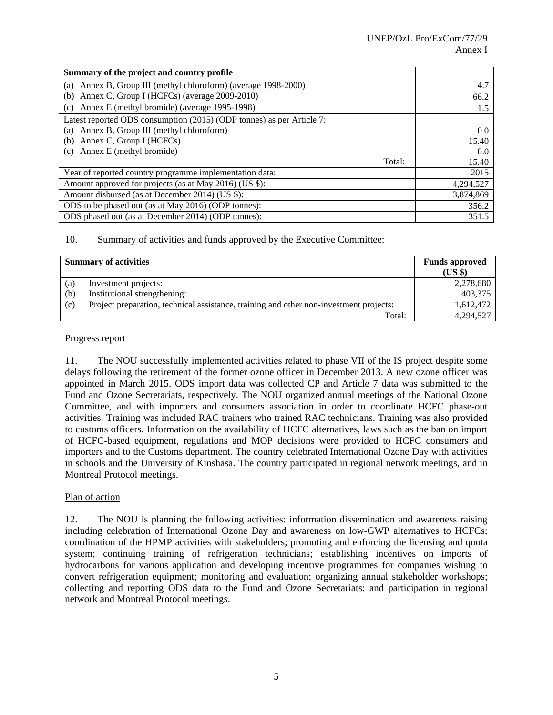| Summary of the project and country profile                            |        |           |
|-----------------------------------------------------------------------|--------|-----------|
| (a) Annex B, Group III (methyl chloroform) (average 1998-2000)        |        | 4.7       |
| Annex C, Group I (HCFCs) (average 2009-2010)<br>(b)                   |        | 66.2      |
| (c) Annex E (methyl bromide) (average 1995-1998)                      |        | 1.5       |
| Latest reported ODS consumption (2015) (ODP tonnes) as per Article 7: |        |           |
| (a) Annex B, Group III (methyl chloroform)                            |        | 0.0       |
| Annex C, Group I (HCFCs)<br>(b)                                       |        | 15.40     |
| Annex E (methyl bromide)<br>(c)                                       |        | 0.0       |
|                                                                       | Total: | 15.40     |
| Year of reported country programme implementation data:               |        | 2015      |
| Amount approved for projects (as at May 2016) (US \$):                |        | 4,294,527 |
| Amount disbursed (as at December 2014) (US \$):                       |        | 3,874,869 |
| ODS to be phased out (as at May 2016) (ODP tonnes):                   |        | 356.2     |
| ODS phased out (as at December 2014) (ODP tonnes):                    |        | 351.5     |

| <b>Summary of activities</b> |                                                                                        | <b>Funds approved</b><br>(US \$) |
|------------------------------|----------------------------------------------------------------------------------------|----------------------------------|
| (a)                          | Investment projects:                                                                   | 2,278,680                        |
| (b)                          | Institutional strengthening:                                                           | 403,375                          |
| (c)                          | Project preparation, technical assistance, training and other non-investment projects: | 1,612,472                        |
|                              | Total:                                                                                 | 4,294,527                        |

#### Progress report

11. The NOU successfully implemented activities related to phase VII of the IS project despite some delays following the retirement of the former ozone officer in December 2013. A new ozone officer was appointed in March 2015. ODS import data was collected CP and Article 7 data was submitted to the Fund and Ozone Secretariats, respectively. The NOU organized annual meetings of the National Ozone Committee, and with importers and consumers association in order to coordinate HCFC phase-out activities. Training was included RAC trainers who trained RAC technicians. Training was also provided to customs officers. Information on the availability of HCFC alternatives, laws such as the ban on import of HCFC-based equipment, regulations and MOP decisions were provided to HCFC consumers and importers and to the Customs department. The country celebrated International Ozone Day with activities in schools and the University of Kinshasa. The country participated in regional network meetings, and in Montreal Protocol meetings.

### Plan of action

12. The NOU is planning the following activities: information dissemination and awareness raising including celebration of International Ozone Day and awareness on low-GWP alternatives to HCFCs; coordination of the HPMP activities with stakeholders; promoting and enforcing the licensing and quota system; continuing training of refrigeration technicians; establishing incentives on imports of hydrocarbons for various application and developing incentive programmes for companies wishing to convert refrigeration equipment; monitoring and evaluation; organizing annual stakeholder workshops; collecting and reporting ODS data to the Fund and Ozone Secretariats; and participation in regional network and Montreal Protocol meetings.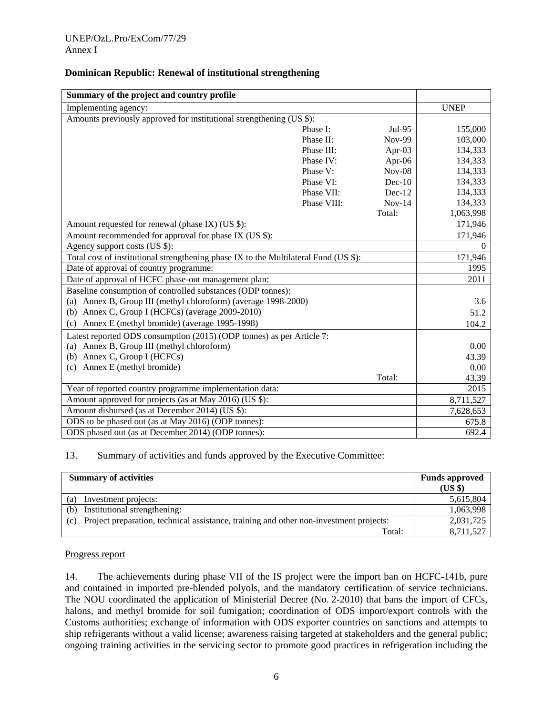| Summary of the project and country profile                                           |             |               |             |
|--------------------------------------------------------------------------------------|-------------|---------------|-------------|
| Implementing agency:                                                                 |             |               | <b>UNEP</b> |
| Amounts previously approved for institutional strengthening (US \$):                 |             |               |             |
|                                                                                      | Phase I:    | Jul-95        | 155,000     |
|                                                                                      | Phase II:   | <b>Nov-99</b> | 103,000     |
|                                                                                      | Phase III:  | Apr-03        | 134,333     |
|                                                                                      | Phase IV:   | Apr- $06$     | 134,333     |
|                                                                                      | Phase V:    | $Nov-08$      | 134,333     |
|                                                                                      | Phase VI:   | $Dec-10$      | 134,333     |
|                                                                                      | Phase VII:  | $Dec-12$      | 134,333     |
|                                                                                      | Phase VIII: | $Nov-14$      | 134,333     |
|                                                                                      |             | Total:        | 1,063,998   |
| Amount requested for renewal (phase IX) (US \$):                                     |             |               | 171,946     |
| Amount recommended for approval for phase IX (US \$):                                |             |               | 171,946     |
| Agency support costs (US \$):                                                        |             |               | $\theta$    |
| Total cost of institutional strengthening phase IX to the Multilateral Fund (US \$): |             |               | 171,946     |
| Date of approval of country programme:                                               |             |               | 1995        |
| Date of approval of HCFC phase-out management plan:                                  |             |               | 2011        |
| Baseline consumption of controlled substances (ODP tonnes):                          |             |               |             |
| (a) Annex B, Group III (methyl chloroform) (average 1998-2000)                       |             |               | 3.6         |
| (b) Annex C, Group I (HCFCs) (average 2009-2010)                                     |             |               | 51.2        |
| Annex E (methyl bromide) (average 1995-1998)<br>(c)                                  |             |               | 104.2       |
| Latest reported ODS consumption (2015) (ODP tonnes) as per Article 7:                |             |               |             |
| (a) Annex B, Group III (methyl chloroform)                                           |             |               | 0.00        |
| (b) Annex C, Group I (HCFCs)                                                         |             |               | 43.39       |
| (c) Annex E (methyl bromide)                                                         |             |               | 0.00        |
|                                                                                      |             | Total:        | 43.39       |
| Year of reported country programme implementation data:                              |             |               | 2015        |
| Amount approved for projects (as at May 2016) (US \$):                               |             |               | 8,711,527   |
| Amount disbursed (as at December 2014) (US \$):                                      |             |               | 7,628,653   |
| ODS to be phased out (as at May 2016) (ODP tonnes):                                  |             |               | 675.8       |
| ODS phased out (as at December 2014) (ODP tonnes):                                   |             |               | 692.4       |

### **Dominican Republic: Renewal of institutional strengthening**

13. Summary of activities and funds approved by the Executive Committee:

| <b>Summary of activities</b>                                                                  | <b>Funds approved</b><br>(USS) |
|-----------------------------------------------------------------------------------------------|--------------------------------|
| Investment projects:<br>(a)                                                                   | 5,615,804                      |
| Institutional strengthening:<br>(b)                                                           | 1,063,998                      |
| Project preparation, technical assistance, training and other non-investment projects:<br>(c) | 2,031,725                      |
| Total:                                                                                        | 8,711,527                      |

#### Progress report

14. The achievements during phase VII of the IS project were the import ban on HCFC-141b, pure and contained in imported pre-blended polyols, and the mandatory certification of service technicians. The NOU coordinated the application of Ministerial Decree (No. 2-2010) that bans the import of CFCs, halons, and methyl bromide for soil fumigation; coordination of ODS import/export controls with the Customs authorities; exchange of information with ODS exporter countries on sanctions and attempts to ship refrigerants without a valid license; awareness raising targeted at stakeholders and the general public; ongoing training activities in the servicing sector to promote good practices in refrigeration including the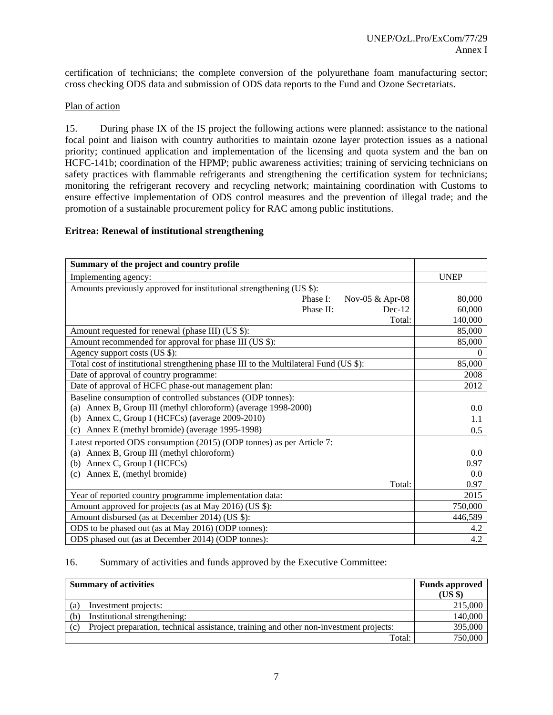certification of technicians; the complete conversion of the polyurethane foam manufacturing sector; cross checking ODS data and submission of ODS data reports to the Fund and Ozone Secretariats.

### Plan of action

15. During phase IX of the IS project the following actions were planned: assistance to the national focal point and liaison with country authorities to maintain ozone layer protection issues as a national priority; continued application and implementation of the licensing and quota system and the ban on HCFC-141b; coordination of the HPMP; public awareness activities; training of servicing technicians on safety practices with flammable refrigerants and strengthening the certification system for technicians; monitoring the refrigerant recovery and recycling network; maintaining coordination with Customs to ensure effective implementation of ODS control measures and the prevention of illegal trade; and the promotion of a sustainable procurement policy for RAC among public institutions.

### **Eritrea: Renewal of institutional strengthening**

| Summary of the project and country profile                                            |             |
|---------------------------------------------------------------------------------------|-------------|
| Implementing agency:                                                                  | <b>UNEP</b> |
| Amounts previously approved for institutional strengthening (US \$):                  |             |
| Phase I:<br>Nov-05 & Apr-08                                                           | 80,000      |
| Phase II:<br>$Dec-12$                                                                 | 60,000      |
| Total:                                                                                | 140,000     |
| Amount requested for renewal (phase III) (US \$):                                     | 85,000      |
| Amount recommended for approval for phase III (US \$):                                | 85,000      |
| Agency support costs (US \$):                                                         | $\Omega$    |
| Total cost of institutional strengthening phase III to the Multilateral Fund (US \$): | 85,000      |
| Date of approval of country programme:                                                | 2008        |
| Date of approval of HCFC phase-out management plan:                                   | 2012        |
| Baseline consumption of controlled substances (ODP tonnes):                           |             |
| (a) Annex B, Group III (methyl chloroform) (average 1998-2000)                        | 0.0         |
| Annex C, Group I (HCFCs) (average 2009-2010)<br>(b)                                   | 1.1         |
| Annex E (methyl bromide) (average 1995-1998)<br>(c)                                   | 0.5         |
| Latest reported ODS consumption (2015) (ODP tonnes) as per Article 7:                 |             |
| Annex B, Group III (methyl chloroform)<br>(a)                                         | 0.0         |
| Annex C, Group I (HCFCs)<br>(b)                                                       | 0.97        |
| Annex E, (methyl bromide)<br>(c)                                                      | 0.0         |
| Total:                                                                                | 0.97        |
| Year of reported country programme implementation data:                               | 2015        |
| Amount approved for projects (as at May 2016) (US \$):                                | 750,000     |
| Amount disbursed (as at December 2014) (US \$):                                       | 446,589     |
| ODS to be phased out (as at May 2016) (ODP tonnes):                                   | 4.2         |
| ODS phased out (as at December 2014) (ODP tonnes):                                    | 4.2         |

#### 16. Summary of activities and funds approved by the Executive Committee:

| <b>Summary of activities</b> |                                                                                        | <b>Funds approved</b> |
|------------------------------|----------------------------------------------------------------------------------------|-----------------------|
|                              |                                                                                        | $(US \$               |
| (a)                          | Investment projects:                                                                   | 215,000               |
| (b)                          | Institutional strengthening:                                                           | 140,000               |
| (c)                          | Project preparation, technical assistance, training and other non-investment projects: | 395,000               |
|                              | Total:                                                                                 | 750,000               |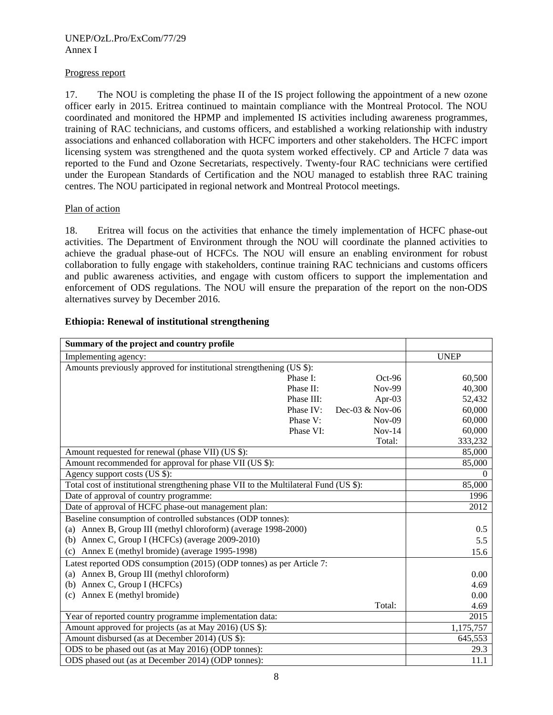### Progress report

17. The NOU is completing the phase II of the IS project following the appointment of a new ozone officer early in 2015. Eritrea continued to maintain compliance with the Montreal Protocol. The NOU coordinated and monitored the HPMP and implemented IS activities including awareness programmes, training of RAC technicians, and customs officers, and established a working relationship with industry associations and enhanced collaboration with HCFC importers and other stakeholders. The HCFC import licensing system was strengthened and the quota system worked effectively. CP and Article 7 data was reported to the Fund and Ozone Secretariats, respectively. Twenty-four RAC technicians were certified under the European Standards of Certification and the NOU managed to establish three RAC training centres. The NOU participated in regional network and Montreal Protocol meetings.

## Plan of action

18. Eritrea will focus on the activities that enhance the timely implementation of HCFC phase-out activities. The Department of Environment through the NOU will coordinate the planned activities to achieve the gradual phase-out of HCFCs. The NOU will ensure an enabling environment for robust collaboration to fully engage with stakeholders, continue training RAC technicians and customs officers and public awareness activities, and engage with custom officers to support the implementation and enforcement of ODS regulations. The NOU will ensure the preparation of the report on the non-ODS alternatives survey by December 2016.

| Summary of the project and country profile                                            |             |
|---------------------------------------------------------------------------------------|-------------|
| Implementing agency:                                                                  | <b>UNEP</b> |
| Amounts previously approved for institutional strengthening (US \$):                  |             |
| Phase I:<br>$Oct-96$                                                                  | 60,500      |
| Phase II:<br><b>Nov-99</b>                                                            | 40,300      |
| Apr-03<br>Phase III:                                                                  | 52,432      |
| Dec-03 & Nov-06<br>Phase IV:                                                          | 60,000      |
| Phase V:<br>$Nov-09$                                                                  | 60,000      |
| Phase VI:<br>$Nov-14$                                                                 | 60,000      |
| Total:                                                                                | 333,232     |
| Amount requested for renewal (phase VII) (US \$):                                     | 85,000      |
| Amount recommended for approval for phase VII (US \$):                                | 85,000      |
| Agency support costs (US \$):                                                         | $\Omega$    |
| Total cost of institutional strengthening phase VII to the Multilateral Fund (US \$): | 85,000      |
| Date of approval of country programme:                                                | 1996        |
| Date of approval of HCFC phase-out management plan:                                   | 2012        |
| Baseline consumption of controlled substances (ODP tonnes):                           |             |
| (a) Annex B, Group III (methyl chloroform) (average 1998-2000)                        | 0.5         |
| (b) Annex C, Group I (HCFCs) (average 2009-2010)                                      | 5.5         |
| Annex E (methyl bromide) (average 1995-1998)<br>(c)                                   | 15.6        |
| Latest reported ODS consumption (2015) (ODP tonnes) as per Article 7:                 |             |
| (a) Annex B, Group III (methyl chloroform)                                            | 0.00        |
| (b) Annex C, Group I (HCFCs)                                                          | 4.69        |
| (c) Annex E (methyl bromide)                                                          | 0.00        |
| Total:                                                                                | 4.69        |
| Year of reported country programme implementation data:                               | 2015        |
| Amount approved for projects (as at May 2016) (US \$):                                | 1,175,757   |
| Amount disbursed (as at December 2014) (US \$):                                       | 645,553     |
| ODS to be phased out (as at May 2016) (ODP tonnes):                                   | 29.3        |
| ODS phased out (as at December 2014) (ODP tonnes):                                    | 11.1        |

## **Ethiopia: Renewal of institutional strengthening**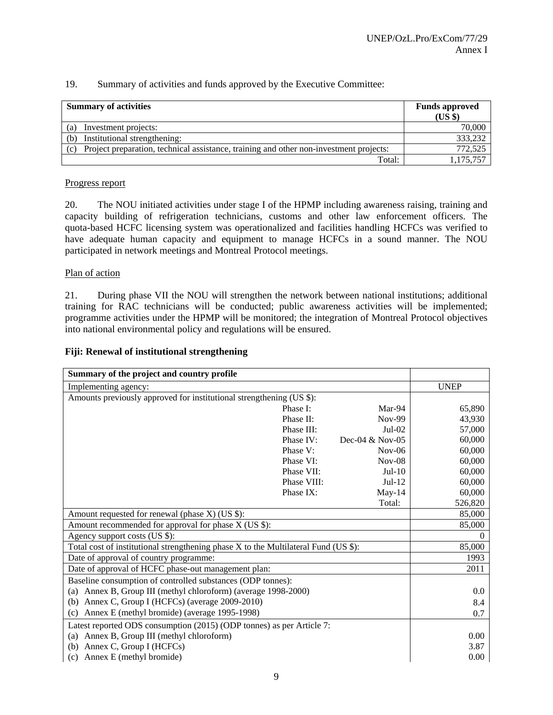| <b>Summary of activities</b>                                                                  | <b>Funds approved</b><br>$(US \$ |
|-----------------------------------------------------------------------------------------------|----------------------------------|
| Investment projects:<br>(a)                                                                   | 70,000                           |
| Institutional strengthening:<br>(b)                                                           | 333,232                          |
| Project preparation, technical assistance, training and other non-investment projects:<br>(c) | 772,525                          |
| Total:                                                                                        | 1,175,757                        |

#### Progress report

20. The NOU initiated activities under stage I of the HPMP including awareness raising, training and capacity building of refrigeration technicians, customs and other law enforcement officers. The quota-based HCFC licensing system was operationalized and facilities handling HCFCs was verified to have adequate human capacity and equipment to manage HCFCs in a sound manner. The NOU participated in network meetings and Montreal Protocol meetings.

#### Plan of action

21. During phase VII the NOU will strengthen the network between national institutions; additional training for RAC technicians will be conducted; public awareness activities will be implemented; programme activities under the HPMP will be monitored; the integration of Montreal Protocol objectives into national environmental policy and regulations will be ensured.

#### **Fiji: Renewal of institutional strengthening**

| Summary of the project and country profile                                          |             |                   |             |
|-------------------------------------------------------------------------------------|-------------|-------------------|-------------|
| Implementing agency:                                                                |             |                   | <b>UNEP</b> |
| Amounts previously approved for institutional strengthening (US \$):                |             |                   |             |
|                                                                                     | Phase I:    | Mar-94            | 65,890      |
|                                                                                     | Phase II:   | Nov-99            | 43,930      |
|                                                                                     | Phase III:  | $Jul-02$          | 57,000      |
|                                                                                     | Phase IV:   | Dec-04 $&$ Nov-05 | 60,000      |
|                                                                                     | Phase V:    | $Nov-06$          | 60,000      |
|                                                                                     | Phase VI:   | $Nov-08$          | 60,000      |
|                                                                                     | Phase VII:  | $Jul-10$          | 60,000      |
|                                                                                     | Phase VIII: | $Jul-12$          | 60,000      |
|                                                                                     | Phase IX:   | $May-14$          | 60,000      |
|                                                                                     |             | Total:            | 526,820     |
| Amount requested for renewal (phase X) (US \$):                                     |             |                   | 85,000      |
| Amount recommended for approval for phase X (US \$):                                |             |                   | 85,000      |
| Agency support costs (US \$):                                                       |             |                   | $\Omega$    |
| Total cost of institutional strengthening phase X to the Multilateral Fund (US \$): |             | 85,000            |             |
| Date of approval of country programme:                                              |             | 1993              |             |
| Date of approval of HCFC phase-out management plan:                                 |             |                   | 2011        |
| Baseline consumption of controlled substances (ODP tonnes):                         |             |                   |             |
| (a) Annex B, Group III (methyl chloroform) (average 1998-2000)                      |             |                   | 0.0         |
| (b) Annex C, Group I (HCFCs) (average 2009-2010)                                    |             |                   | 8.4         |
| (c) Annex E (methyl bromide) (average 1995-1998)                                    |             |                   | 0.7         |
| Latest reported ODS consumption (2015) (ODP tonnes) as per Article 7:               |             |                   |             |
| (a) Annex B, Group III (methyl chloroform)                                          |             |                   | 0.00        |
| (b) Annex C, Group I (HCFCs)                                                        |             |                   | 3.87        |
| Annex E (methyl bromide)<br>(c)                                                     |             |                   | $0.00\,$    |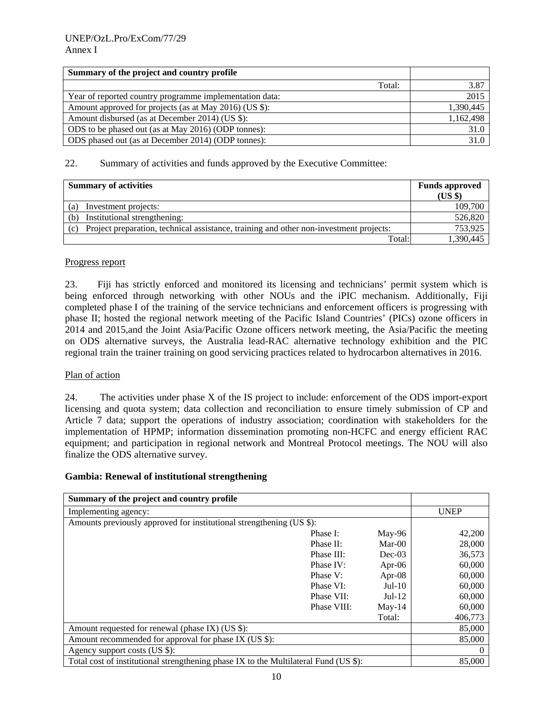| Summary of the project and country profile              |        |           |
|---------------------------------------------------------|--------|-----------|
|                                                         | Total: | 3.87      |
| Year of reported country programme implementation data: |        | 2015      |
| Amount approved for projects (as at May 2016) (US \$):  |        | 1,390,445 |
| Amount disbursed (as at December 2014) (US \$):         |        | 1,162,498 |
| ODS to be phased out (as at May 2016) (ODP tonnes):     |        | 31.0      |
| ODS phased out (as at December 2014) (ODP tonnes):      |        | 31.0      |

| <b>Summary of activities</b>                                                                  | <b>Funds approved</b><br>(US \$) |
|-----------------------------------------------------------------------------------------------|----------------------------------|
| Investment projects:<br>(a)                                                                   | 109,700                          |
| Institutional strengthening:<br>(b)                                                           | 526,820                          |
| Project preparation, technical assistance, training and other non-investment projects:<br>(c) | 753,925                          |
| Total:                                                                                        | 1,390,445                        |

### Progress report

23. Fiji has strictly enforced and monitored its licensing and technicians' permit system which is being enforced through networking with other NOUs and the iPIC mechanism. Additionally, Fiji completed phase I of the training of the service technicians and enforcement officers is progressing with phase II; hosted the regional network meeting of the Pacific Island Countries' (PICs) ozone officers in 2014 and 2015,and the Joint Asia/Pacific Ozone officers network meeting, the Asia/Pacific the meeting on ODS alternative surveys, the Australia lead-RAC alternative technology exhibition and the PIC regional train the trainer training on good servicing practices related to hydrocarbon alternatives in 2016.

### Plan of action

24. The activities under phase X of the IS project to include: enforcement of the ODS import-export licensing and quota system; data collection and reconciliation to ensure timely submission of CP and Article 7 data; support the operations of industry association; coordination with stakeholders for the implementation of HPMP; information dissemination promoting non-HCFC and energy efficient RAC equipment; and participation in regional network and Montreal Protocol meetings. The NOU will also finalize the ODS alternative survey.

## **Gambia: Renewal of institutional strengthening**

| Summary of the project and country profile                                           |             |           |                  |
|--------------------------------------------------------------------------------------|-------------|-----------|------------------|
| Implementing agency:                                                                 |             |           | <b>UNEP</b>      |
| Amounts previously approved for institutional strengthening (US \$):                 |             |           |                  |
|                                                                                      | Phase I:    | May-96    | 42,200           |
|                                                                                      | Phase II:   | $Mar-00$  | 28,000           |
|                                                                                      | Phase III:  | $Dec-03$  | 36,573           |
|                                                                                      | Phase IV:   | Apr- $06$ | 60,000           |
|                                                                                      | Phase V:    | Apr- $08$ | 60,000           |
|                                                                                      | Phase VI:   | $Jul-10$  | 60,000           |
|                                                                                      | Phase VII:  | $Jul-12$  | 60,000           |
|                                                                                      | Phase VIII: | $May-14$  | 60,000           |
|                                                                                      |             | Total:    | 406,773          |
| Amount requested for renewal (phase IX) (US \$):                                     |             |           | 85,000           |
| Amount recommended for approval for phase IX (US \$):                                |             |           | 85,000           |
| Agency support costs (US \$):                                                        |             |           | $\left( \right)$ |
| Total cost of institutional strengthening phase IX to the Multilateral Fund (US \$): |             |           | 85,000           |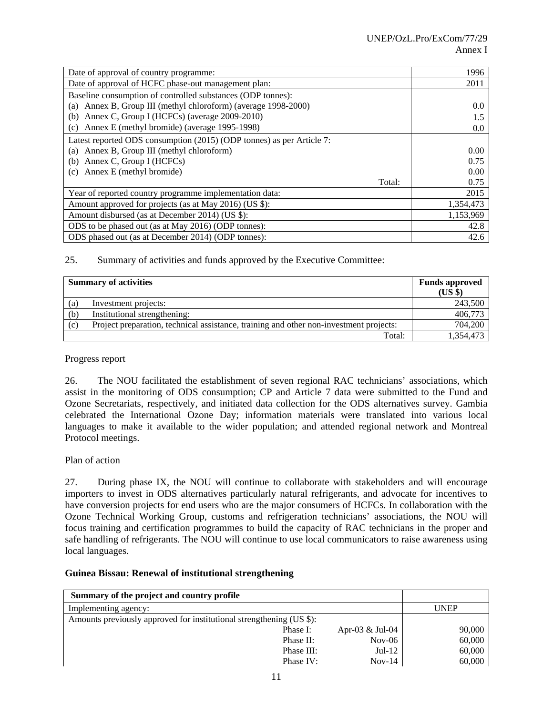| Date of approval of country programme:                                | 1996      |
|-----------------------------------------------------------------------|-----------|
| Date of approval of HCFC phase-out management plan:                   | 2011      |
| Baseline consumption of controlled substances (ODP tonnes):           |           |
| Annex B, Group III (methyl chloroform) (average 1998-2000)<br>(a)     | 0.0       |
| Annex C, Group I (HCFCs) (average 2009-2010)<br>(b)                   | 1.5       |
| Annex E (methyl bromide) (average 1995-1998)<br>(c)                   | 0.0       |
| Latest reported ODS consumption (2015) (ODP tonnes) as per Article 7: |           |
| Annex B, Group III (methyl chloroform)<br>(a)                         | 0.00      |
| Annex C, Group I (HCFCs)<br>(b)                                       | 0.75      |
| Annex E (methyl bromide)<br>(c)                                       | 0.00      |
| Total:                                                                | 0.75      |
| Year of reported country programme implementation data:               | 2015      |
| Amount approved for projects (as at May 2016) (US \$):                | 1,354,473 |
| Amount disbursed (as at December 2014) (US \$):                       | 1,153,969 |
| ODS to be phased out (as at May 2016) (ODP tonnes):                   | 42.8      |
| ODS phased out (as at December 2014) (ODP tonnes):                    | 42.6      |

|     | <b>Summary of activities</b>                                                           | <b>Funds approved</b><br>(US \$) |
|-----|----------------------------------------------------------------------------------------|----------------------------------|
| (a) | Investment projects:                                                                   | 243,500                          |
| (b) | Institutional strengthening:                                                           | 406,773                          |
| (c) | Project preparation, technical assistance, training and other non-investment projects: | 704,200                          |
|     | Total:                                                                                 | 1,354,473                        |

#### Progress report

26. The NOU facilitated the establishment of seven regional RAC technicians' associations, which assist in the monitoring of ODS consumption; CP and Article 7 data were submitted to the Fund and Ozone Secretariats, respectively, and initiated data collection for the ODS alternatives survey. Gambia celebrated the International Ozone Day; information materials were translated into various local languages to make it available to the wider population; and attended regional network and Montreal Protocol meetings.

### Plan of action

27. During phase IX, the NOU will continue to collaborate with stakeholders and will encourage importers to invest in ODS alternatives particularly natural refrigerants, and advocate for incentives to have conversion projects for end users who are the major consumers of HCFCs. In collaboration with the Ozone Technical Working Group, customs and refrigeration technicians' associations, the NOU will focus training and certification programmes to build the capacity of RAC technicians in the proper and safe handling of refrigerants. The NOU will continue to use local communicators to raise awareness using local languages.

### **Guinea Bissau: Renewal of institutional strengthening**

| Summary of the project and country profile                           |            |                 |             |
|----------------------------------------------------------------------|------------|-----------------|-------------|
| Implementing agency:                                                 |            |                 | <b>UNEP</b> |
| Amounts previously approved for institutional strengthening (US \$): |            |                 |             |
|                                                                      | Phase I:   | Apr-03 & Jul-04 | 90,000      |
|                                                                      | Phase II:  | $Nov-06$        | 60,000      |
|                                                                      | Phase III: | $Jul-12$        | 60,000      |
|                                                                      | Phase IV:  | $Nov-14$        | 60,000      |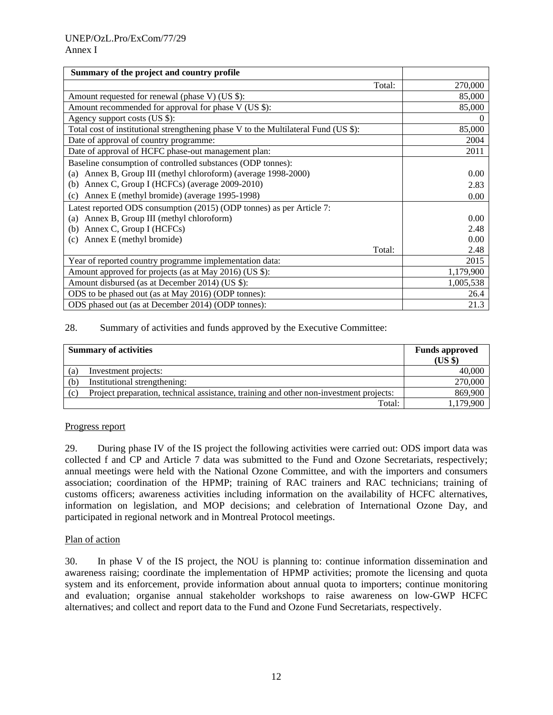| Summary of the project and country profile                                          |           |
|-------------------------------------------------------------------------------------|-----------|
| Total:                                                                              | 270,000   |
| Amount requested for renewal (phase V) (US \$):                                     | 85,000    |
| Amount recommended for approval for phase V (US \$):                                | 85,000    |
| Agency support costs (US \$):                                                       | $\theta$  |
| Total cost of institutional strengthening phase V to the Multilateral Fund (US \$): | 85,000    |
| Date of approval of country programme:                                              | 2004      |
| Date of approval of HCFC phase-out management plan:                                 | 2011      |
| Baseline consumption of controlled substances (ODP tonnes):                         |           |
| Annex B, Group III (methyl chloroform) (average 1998-2000)<br>(a)                   | 0.00      |
| Annex C, Group I (HCFCs) (average 2009-2010)<br>(b)                                 | 2.83      |
| Annex E (methyl bromide) (average 1995-1998)<br>(c)                                 | 0.00      |
| Latest reported ODS consumption (2015) (ODP tonnes) as per Article 7:               |           |
| Annex B, Group III (methyl chloroform)<br>(a)                                       | 0.00      |
| Annex C, Group I (HCFCs)<br>(b)                                                     | 2.48      |
| Annex E (methyl bromide)<br>(c)                                                     | 0.00      |
| Total:                                                                              | 2.48      |
| Year of reported country programme implementation data:                             | 2015      |
| Amount approved for projects (as at May 2016) (US \$):                              | 1,179,900 |
| Amount disbursed (as at December 2014) (US \$):                                     | 1,005,538 |
| ODS to be phased out (as at May 2016) (ODP tonnes):                                 | 26.4      |
| ODS phased out (as at December 2014) (ODP tonnes):                                  | 21.3      |

| <b>Summary of activities</b> |                                                                                        | <b>Funds approved</b><br>(US \$) |
|------------------------------|----------------------------------------------------------------------------------------|----------------------------------|
| (a)                          | Investment projects:                                                                   | 40,000                           |
| (b)                          | Institutional strengthening:                                                           | 270,000                          |
| (c)                          | Project preparation, technical assistance, training and other non-investment projects: | 869,900                          |
|                              | Total:                                                                                 | 1,179,900                        |

### Progress report

29. During phase IV of the IS project the following activities were carried out: ODS import data was collected f and CP and Article 7 data was submitted to the Fund and Ozone Secretariats, respectively; annual meetings were held with the National Ozone Committee, and with the importers and consumers association; coordination of the HPMP; training of RAC trainers and RAC technicians; training of customs officers; awareness activities including information on the availability of HCFC alternatives, information on legislation, and MOP decisions; and celebration of International Ozone Day, and participated in regional network and in Montreal Protocol meetings.

### Plan of action

30. In phase V of the IS project, the NOU is planning to: continue information dissemination and awareness raising; coordinate the implementation of HPMP activities; promote the licensing and quota system and its enforcement, provide information about annual quota to importers; continue monitoring and evaluation; organise annual stakeholder workshops to raise awareness on low-GWP HCFC alternatives; and collect and report data to the Fund and Ozone Fund Secretariats, respectively.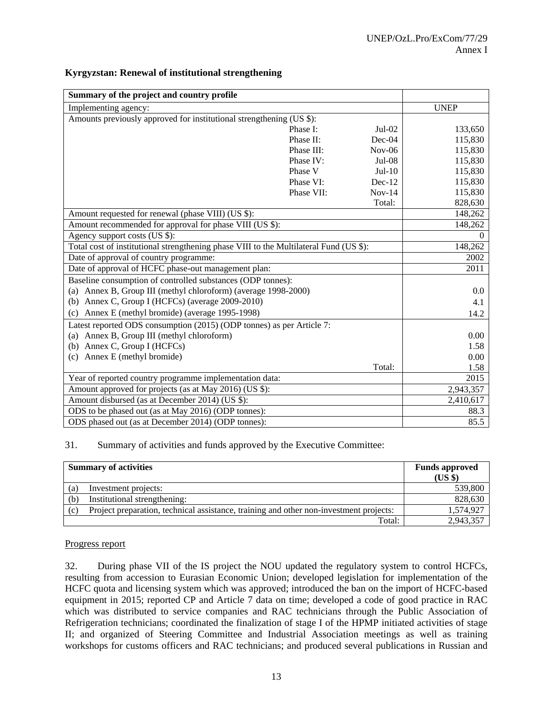| Summary of the project and country profile                                             |            |          |             |
|----------------------------------------------------------------------------------------|------------|----------|-------------|
| Implementing agency:                                                                   |            |          | <b>UNEP</b> |
| Amounts previously approved for institutional strengthening (US \$):                   |            |          |             |
|                                                                                        | Phase I:   | $Jul-02$ | 133,650     |
|                                                                                        | Phase II:  | $Dec-04$ | 115,830     |
|                                                                                        | Phase III: | $Nov-06$ | 115,830     |
|                                                                                        | Phase IV:  | $Jul-08$ | 115,830     |
|                                                                                        | Phase V    | $Jul-10$ | 115,830     |
|                                                                                        | Phase VI:  | $Dec-12$ | 115,830     |
|                                                                                        | Phase VII: | $Nov-14$ | 115,830     |
|                                                                                        |            | Total:   | 828,630     |
| Amount requested for renewal (phase VIII) (US \$):                                     |            |          | 148,262     |
| Amount recommended for approval for phase VIII (US \$):                                |            |          | 148,262     |
| Agency support costs (US \$):                                                          |            |          | $\Omega$    |
| Total cost of institutional strengthening phase VIII to the Multilateral Fund (US \$): |            |          | 148,262     |
| Date of approval of country programme:                                                 |            |          | 2002        |
| Date of approval of HCFC phase-out management plan:                                    |            |          | 2011        |
| Baseline consumption of controlled substances (ODP tonnes):                            |            |          |             |
| (a) Annex B, Group III (methyl chloroform) (average 1998-2000)                         |            |          | 0.0         |
| Annex C, Group I (HCFCs) (average 2009-2010)<br>(b)                                    |            |          | 4.1         |
| Annex E (methyl bromide) (average 1995-1998)<br>(c)                                    |            |          | 14.2        |
| Latest reported ODS consumption (2015) (ODP tonnes) as per Article 7:                  |            |          |             |
| (a) Annex B, Group III (methyl chloroform)                                             |            |          | 0.00        |
| Annex C, Group I (HCFCs)<br>(b)                                                        |            |          | 1.58        |
| Annex E (methyl bromide)<br>(c)                                                        |            |          | 0.00        |
|                                                                                        |            | Total:   | 1.58        |
| Year of reported country programme implementation data:                                |            |          | 2015        |
| Amount approved for projects (as at May 2016) (US \$):                                 |            |          | 2,943,357   |
| Amount disbursed (as at December 2014) (US \$):                                        |            |          | 2,410,617   |
| ODS to be phased out (as at May 2016) (ODP tonnes):                                    |            |          | 88.3        |
| ODS phased out (as at December 2014) (ODP tonnes):                                     |            |          | 85.5        |

### **Kyrgyzstan: Renewal of institutional strengthening**

#### 31. Summary of activities and funds approved by the Executive Committee:

| <b>Summary of activities</b> |                                                                                        | <b>Funds approved</b><br>(US \$) |
|------------------------------|----------------------------------------------------------------------------------------|----------------------------------|
| (a)                          | Investment projects:                                                                   | 539,800                          |
| (b)                          | Institutional strengthening:                                                           | 828,630                          |
| (c)                          | Project preparation, technical assistance, training and other non-investment projects: | 1,574,927                        |
|                              | Total:                                                                                 | 2,943,357                        |

#### Progress report

32. During phase VII of the IS project the NOU updated the regulatory system to control HCFCs, resulting from accession to Eurasian Economic Union; developed legislation for implementation of the HCFC quota and licensing system which was approved; introduced the ban on the import of HCFC-based equipment in 2015; reported CP and Article 7 data on time; developed a code of good practice in RAC which was distributed to service companies and RAC technicians through the Public Association of Refrigeration technicians; coordinated the finalization of stage I of the HPMP initiated activities of stage II; and organized of Steering Committee and Industrial Association meetings as well as training workshops for customs officers and RAC technicians; and produced several publications in Russian and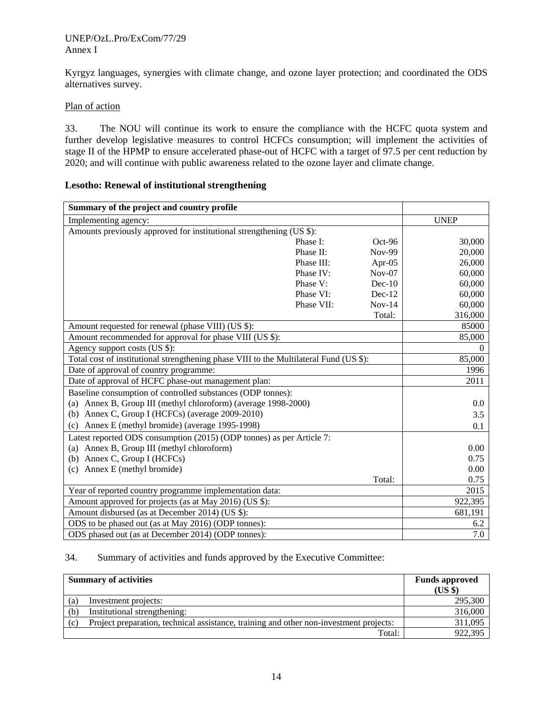#### UNEP/OzL.Pro/ExCom/77/29 Annex I

Kyrgyz languages, synergies with climate change, and ozone layer protection; and coordinated the ODS alternatives survey.

#### Plan of action

33. The NOU will continue its work to ensure the compliance with the HCFC quota system and further develop legislative measures to control HCFCs consumption; will implement the activities of stage II of the HPMP to ensure accelerated phase-out of HCFC with a target of 97.5 per cent reduction by 2020; and will continue with public awareness related to the ozone layer and climate change.

| Summary of the project and country profile                                             |            |               |             |
|----------------------------------------------------------------------------------------|------------|---------------|-------------|
| Implementing agency:                                                                   |            |               | <b>UNEP</b> |
| Amounts previously approved for institutional strengthening (US \$):                   |            |               |             |
|                                                                                        | Phase I:   | $Oct-96$      | 30,000      |
|                                                                                        | Phase II:  | <b>Nov-99</b> | 20,000      |
|                                                                                        | Phase III: | Apr-05        | 26,000      |
|                                                                                        | Phase IV:  | $Nov-07$      | 60,000      |
|                                                                                        | Phase V:   | $Dec-10$      | 60,000      |
|                                                                                        | Phase VI:  | $Dec-12$      | 60,000      |
|                                                                                        | Phase VII: | $Nov-14$      | 60,000      |
|                                                                                        |            | Total:        | 316,000     |
| Amount requested for renewal (phase VIII) (US \$):                                     |            |               | 85000       |
| Amount recommended for approval for phase VIII (US \$):                                |            |               | 85,000      |
| Agency support costs (US \$):                                                          |            |               | $\Omega$    |
| Total cost of institutional strengthening phase VIII to the Multilateral Fund (US \$): |            |               | 85,000      |
| Date of approval of country programme:                                                 |            |               | 1996        |
| Date of approval of HCFC phase-out management plan:                                    |            |               | 2011        |
| Baseline consumption of controlled substances (ODP tonnes):                            |            |               |             |
| (a) Annex B, Group III (methyl chloroform) (average 1998-2000)                         |            |               | 0.0         |
| (b) Annex C, Group I (HCFCs) (average $2009-2010$ )                                    |            |               | 3.5         |
| (c) Annex E (methyl bromide) (average 1995-1998)                                       |            |               | 0.1         |
| Latest reported ODS consumption (2015) (ODP tonnes) as per Article 7:                  |            |               |             |
| (a) Annex B, Group III (methyl chloroform)                                             |            |               | 0.00        |
| (b) Annex C, Group I (HCFCs)                                                           |            |               | 0.75        |
| (c) Annex E (methyl bromide)                                                           |            |               | 0.00        |
|                                                                                        |            | Total:        | 0.75        |
| Year of reported country programme implementation data:                                |            |               | 2015        |
| Amount approved for projects (as at May 2016) (US \$):                                 |            |               | 922,395     |
| Amount disbursed (as at December 2014) (US \$):                                        |            |               | 681,191     |
| ODS to be phased out (as at May 2016) (ODP tonnes):                                    |            |               | 6.2         |
| ODS phased out (as at December 2014) (ODP tonnes):                                     |            |               | 7.0         |

#### **Lesotho: Renewal of institutional strengthening**

## 34. Summary of activities and funds approved by the Executive Committee:

| <b>Summary of activities</b> |                                                                                        | <b>Funds approved</b><br>(US \$) |
|------------------------------|----------------------------------------------------------------------------------------|----------------------------------|
| (a)                          | Investment projects:                                                                   | 295,300                          |
| (b)                          | Institutional strengthening:                                                           | 316,000                          |
| (c)                          | Project preparation, technical assistance, training and other non-investment projects: | 311,095                          |
|                              | Total:                                                                                 | 922,395                          |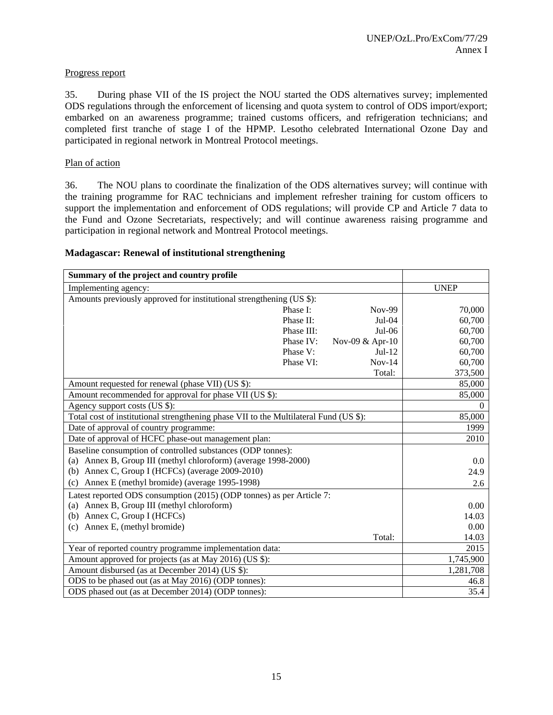### Progress report

35. During phase VII of the IS project the NOU started the ODS alternatives survey; implemented ODS regulations through the enforcement of licensing and quota system to control of ODS import/export; embarked on an awareness programme; trained customs officers, and refrigeration technicians; and completed first tranche of stage I of the HPMP. Lesotho celebrated International Ozone Day and participated in regional network in Montreal Protocol meetings.

## Plan of action

36. The NOU plans to coordinate the finalization of the ODS alternatives survey; will continue with the training programme for RAC technicians and implement refresher training for custom officers to support the implementation and enforcement of ODS regulations; will provide CP and Article 7 data to the Fund and Ozone Secretariats, respectively; and will continue awareness raising programme and participation in regional network and Montreal Protocol meetings.

## **Madagascar: Renewal of institutional strengthening**

| Summary of the project and country profile                                            |                 |             |
|---------------------------------------------------------------------------------------|-----------------|-------------|
| Implementing agency:                                                                  |                 | <b>UNEP</b> |
| Amounts previously approved for institutional strengthening (US \$):                  |                 |             |
| Phase I:                                                                              | Nov-99          | 70,000      |
| Phase II:                                                                             | $Jul-04$        | 60,700      |
| Phase III:                                                                            | $Jul-06$        | 60,700      |
| Phase IV:                                                                             | Nov-09 & Apr-10 | 60,700      |
| Phase V:                                                                              | $Jul-12$        | 60,700      |
| Phase VI:                                                                             | $Nov-14$        | 60,700      |
|                                                                                       | Total:          | 373,500     |
| Amount requested for renewal (phase VII) (US \$):                                     |                 | 85,000      |
| Amount recommended for approval for phase VII (US \$):                                |                 | 85,000      |
| Agency support costs (US \$):                                                         |                 | 0           |
| Total cost of institutional strengthening phase VII to the Multilateral Fund (US \$): |                 | 85,000      |
| Date of approval of country programme:                                                |                 | 1999        |
| Date of approval of HCFC phase-out management plan:                                   |                 | 2010        |
| Baseline consumption of controlled substances (ODP tonnes):                           |                 |             |
| (a) Annex B, Group III (methyl chloroform) (average 1998-2000)                        |                 | 0.0         |
| (b) Annex C, Group I (HCFCs) (average 2009-2010)                                      |                 | 24.9        |
| Annex E (methyl bromide) (average 1995-1998)<br>(c)                                   |                 | 2.6         |
| Latest reported ODS consumption (2015) (ODP tonnes) as per Article 7:                 |                 |             |
| (a) Annex B, Group III (methyl chloroform)                                            |                 | 0.00        |
| (b) Annex C, Group I (HCFCs)                                                          |                 | 14.03       |
| Annex E, (methyl bromide)<br>(c)                                                      |                 | 0.00        |
|                                                                                       | Total:          | 14.03       |
| Year of reported country programme implementation data:                               |                 | 2015        |
| Amount approved for projects (as at May 2016) (US \$):                                |                 | 1,745,900   |
| Amount disbursed (as at December 2014) (US \$):                                       |                 | 1,281,708   |
| ODS to be phased out (as at May 2016) (ODP tonnes):                                   |                 | 46.8        |
| ODS phased out (as at December 2014) (ODP tonnes):                                    |                 | 35.4        |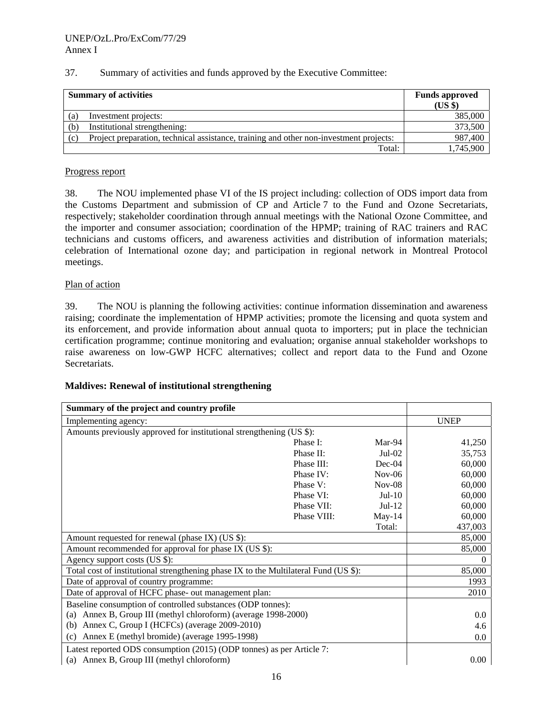| 37.<br>Summary of activities and funds approved by the Executive Committee: |  |
|-----------------------------------------------------------------------------|--|
|-----------------------------------------------------------------------------|--|

| <b>Summary of activities</b> |                                                                                        | <b>Funds approved</b><br>(US \$) |
|------------------------------|----------------------------------------------------------------------------------------|----------------------------------|
| (a)                          | Investment projects:                                                                   | 385,000                          |
| (b)                          | Institutional strengthening:                                                           | 373,500                          |
| (c)                          | Project preparation, technical assistance, training and other non-investment projects: | 987,400                          |
|                              | Total:                                                                                 | 1,745,900                        |

### Progress report

38. The NOU implemented phase VI of the IS project including: collection of ODS import data from the Customs Department and submission of CP and Article 7 to the Fund and Ozone Secretariats, respectively; stakeholder coordination through annual meetings with the National Ozone Committee, and the importer and consumer association; coordination of the HPMP; training of RAC trainers and RAC technicians and customs officers, and awareness activities and distribution of information materials; celebration of International ozone day; and participation in regional network in Montreal Protocol meetings.

### Plan of action

39. The NOU is planning the following activities: continue information dissemination and awareness raising; coordinate the implementation of HPMP activities; promote the licensing and quota system and its enforcement, and provide information about annual quota to importers; put in place the technician certification programme; continue monitoring and evaluation; organise annual stakeholder workshops to raise awareness on low-GWP HCFC alternatives; collect and report data to the Fund and Ozone Secretariats.

#### **Maldives: Renewal of institutional strengthening**

| Summary of the project and country profile                                           |             |          |             |
|--------------------------------------------------------------------------------------|-------------|----------|-------------|
| Implementing agency:                                                                 |             |          | <b>UNEP</b> |
| Amounts previously approved for institutional strengthening (US \$):                 |             |          |             |
|                                                                                      | Phase I:    | Mar-94   | 41,250      |
|                                                                                      | Phase II:   | $Jul-02$ | 35,753      |
|                                                                                      | Phase III:  | $Dec-04$ | 60,000      |
|                                                                                      | Phase IV:   | $Nov-06$ | 60,000      |
|                                                                                      | Phase V:    | $Nov-08$ | 60,000      |
|                                                                                      | Phase VI:   | $Jul-10$ | 60,000      |
|                                                                                      | Phase VII:  | $Jul-12$ | 60,000      |
|                                                                                      | Phase VIII: | $May-14$ | 60,000      |
|                                                                                      |             | Total:   | 437,003     |
| Amount requested for renewal (phase IX) (US \$):                                     |             |          | 85,000      |
| Amount recommended for approval for phase IX (US \$):                                |             |          | 85,000      |
| Agency support costs (US \$):                                                        |             |          | $\Omega$    |
| Total cost of institutional strengthening phase IX to the Multilateral Fund (US \$): |             |          | 85,000      |
| Date of approval of country programme:                                               |             |          | 1993        |
| Date of approval of HCFC phase- out management plan:                                 |             |          | 2010        |
| Baseline consumption of controlled substances (ODP tonnes):                          |             |          |             |
| (a) Annex B, Group III (methyl chloroform) (average 1998-2000)                       |             |          | 0.0         |
| (b) Annex C, Group I (HCFCs) (average 2009-2010)                                     |             |          | 4.6         |
| Annex E (methyl bromide) (average 1995-1998)<br>(c)                                  |             |          | 0.0         |
| Latest reported ODS consumption (2015) (ODP tonnes) as per Article 7:                |             |          |             |
| (a) Annex B, Group III (methyl chloroform)                                           |             |          | $0.00\,$    |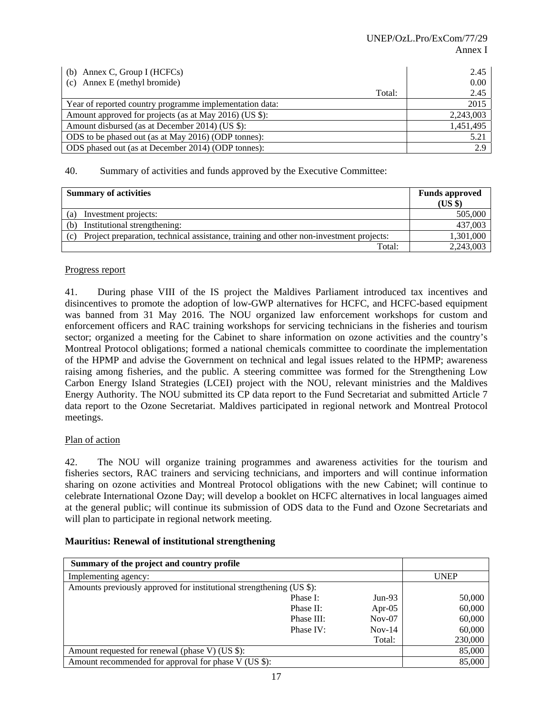| (b) Annex C, Group I (HCFCs)                            | 2.45      |
|---------------------------------------------------------|-----------|
| (c) Annex E (methyl bromide)                            | 0.00      |
| Total:                                                  | 2.45      |
| Year of reported country programme implementation data: | 2015      |
| Amount approved for projects (as at May 2016) (US \$):  | 2,243,003 |
| Amount disbursed (as at December 2014) (US \$):         | 1,451,495 |
| ODS to be phased out (as at May 2016) (ODP tonnes):     | 5.21      |
| ODS phased out (as at December 2014) (ODP tonnes):      | 2.9       |

| <b>Summary of activities</b>                                                                  | <b>Funds approved</b><br>$(US \$ |
|-----------------------------------------------------------------------------------------------|----------------------------------|
| Investment projects:<br>(a)                                                                   | 505,000                          |
| Institutional strengthening:<br>(b)                                                           | 437,003                          |
| Project preparation, technical assistance, training and other non-investment projects:<br>(c) | 1,301,000                        |
| Total:                                                                                        | 2,243,003                        |

### Progress report

41. During phase VIII of the IS project the Maldives Parliament introduced tax incentives and disincentives to promote the adoption of low-GWP alternatives for HCFC, and HCFC-based equipment was banned from 31 May 2016. The NOU organized law enforcement workshops for custom and enforcement officers and RAC training workshops for servicing technicians in the fisheries and tourism sector; organized a meeting for the Cabinet to share information on ozone activities and the country's Montreal Protocol obligations; formed a national chemicals committee to coordinate the implementation of the HPMP and advise the Government on technical and legal issues related to the HPMP; awareness raising among fisheries, and the public. A steering committee was formed for the Strengthening Low Carbon Energy Island Strategies (LCEI) project with the NOU, relevant ministries and the Maldives Energy Authority. The NOU submitted its CP data report to the Fund Secretariat and submitted Article 7 data report to the Ozone Secretariat. Maldives participated in regional network and Montreal Protocol meetings.

# Plan of action

42. The NOU will organize training programmes and awareness activities for the tourism and fisheries sectors, RAC trainers and servicing technicians, and importers and will continue information sharing on ozone activities and Montreal Protocol obligations with the new Cabinet; will continue to celebrate International Ozone Day; will develop a booklet on HCFC alternatives in local languages aimed at the general public; will continue its submission of ODS data to the Fund and Ozone Secretariats and will plan to participate in regional network meeting.

|  | <b>Mauritius: Renewal of institutional strengthening</b> |  |
|--|----------------------------------------------------------|--|
|  |                                                          |  |

| Summary of the project and country profile                           |            |           |             |
|----------------------------------------------------------------------|------------|-----------|-------------|
| Implementing agency:                                                 |            |           | <b>UNEP</b> |
| Amounts previously approved for institutional strengthening (US \$): |            |           |             |
|                                                                      | Phase I:   | $Jun-93$  | 50,000      |
|                                                                      | Phase II:  | Apr- $05$ | 60,000      |
|                                                                      | Phase III: | $Nov-07$  | 60,000      |
|                                                                      | Phase IV:  | $Nov-14$  | 60,000      |
|                                                                      |            | Total:    | 230,000     |
| Amount requested for renewal (phase V) (US \$):                      |            |           | 85,000      |
| Amount recommended for approval for phase V (US \$):                 |            |           | 85,000      |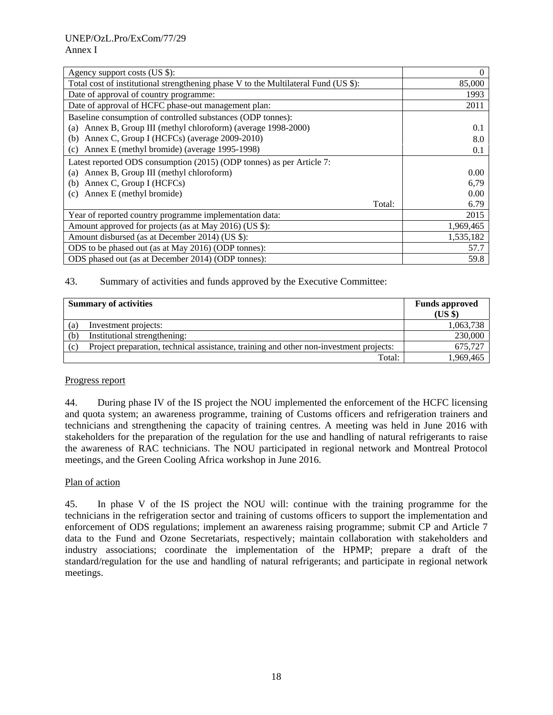| Agency support costs (US \$):                                                       | 0         |
|-------------------------------------------------------------------------------------|-----------|
| Total cost of institutional strengthening phase V to the Multilateral Fund (US \$): | 85,000    |
| Date of approval of country programme:                                              | 1993      |
| Date of approval of HCFC phase-out management plan:                                 | 2011      |
| Baseline consumption of controlled substances (ODP tonnes):                         |           |
| Annex B, Group III (methyl chloroform) (average 1998-2000)<br>(a)                   | 0.1       |
| Annex C, Group I (HCFCs) (average 2009-2010)<br>(b)                                 | 8.0       |
| Annex E (methyl bromide) (average 1995-1998)<br>(c)                                 | 0.1       |
| Latest reported ODS consumption (2015) (ODP tonnes) as per Article 7:               |           |
| Annex B, Group III (methyl chloroform)<br>(a)                                       | 0.00      |
| Annex C, Group I (HCFCs)<br>(b)                                                     | 6,79      |
| Annex E (methyl bromide)<br>(c)                                                     | 0.00      |
| Total:                                                                              | 6.79      |
| Year of reported country programme implementation data:                             | 2015      |
| Amount approved for projects (as at May 2016) (US \$):                              | 1,969,465 |
| Amount disbursed (as at December 2014) (US \$):                                     | 1,535,182 |
| ODS to be phased out (as at May 2016) (ODP tonnes):                                 | 57.7      |
| ODS phased out (as at December 2014) (ODP tonnes):                                  | 59.8      |

|     | <b>Summary of activities</b>                                                           | <b>Funds approved</b><br>(US \$) |
|-----|----------------------------------------------------------------------------------------|----------------------------------|
| (a) | Investment projects:                                                                   | 1,063,738                        |
| (b) | Institutional strengthening:                                                           | 230,000                          |
| (c) | Project preparation, technical assistance, training and other non-investment projects: | 675.727                          |
|     | Total:                                                                                 | 1,969,465                        |

#### Progress report

44. During phase IV of the IS project the NOU implemented the enforcement of the HCFC licensing and quota system; an awareness programme, training of Customs officers and refrigeration trainers and technicians and strengthening the capacity of training centres. A meeting was held in June 2016 with stakeholders for the preparation of the regulation for the use and handling of natural refrigerants to raise the awareness of RAC technicians. The NOU participated in regional network and Montreal Protocol meetings, and the Green Cooling Africa workshop in June 2016.

#### Plan of action

45. In phase V of the IS project the NOU will: continue with the training programme for the technicians in the refrigeration sector and training of customs officers to support the implementation and enforcement of ODS regulations; implement an awareness raising programme; submit CP and Article 7 data to the Fund and Ozone Secretariats, respectively; maintain collaboration with stakeholders and industry associations; coordinate the implementation of the HPMP; prepare a draft of the standard/regulation for the use and handling of natural refrigerants; and participate in regional network meetings.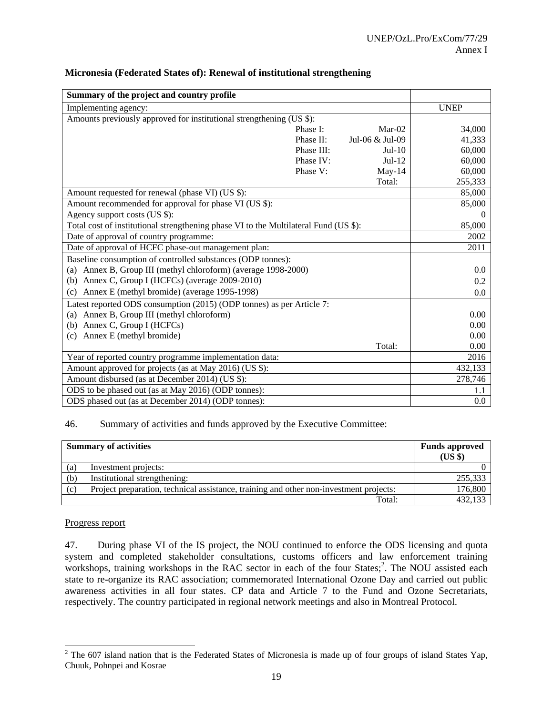| Summary of the project and country profile                                           |            |                 |             |
|--------------------------------------------------------------------------------------|------------|-----------------|-------------|
| Implementing agency:                                                                 |            |                 | <b>UNEP</b> |
| Amounts previously approved for institutional strengthening (US \$):                 |            |                 |             |
|                                                                                      | Phase I:   | $Mar-02$        | 34,000      |
|                                                                                      | Phase II:  | Jul-06 & Jul-09 | 41,333      |
|                                                                                      | Phase III: | $Jul-10$        | 60,000      |
|                                                                                      | Phase IV:  | $Jul-12$        | 60,000      |
|                                                                                      | Phase V:   | $May-14$        | 60,000      |
|                                                                                      |            | Total:          | 255,333     |
| Amount requested for renewal (phase VI) (US \$):                                     |            |                 | 85,000      |
| Amount recommended for approval for phase VI (US \$):                                |            |                 | 85,000      |
| Agency support costs $(US \overline{\$})$ :                                          |            |                 | $\Omega$    |
| Total cost of institutional strengthening phase VI to the Multilateral Fund (US \$): |            |                 | 85,000      |
| Date of approval of country programme:                                               |            |                 | 2002        |
| Date of approval of HCFC phase-out management plan:                                  |            |                 | 2011        |
| Baseline consumption of controlled substances (ODP tonnes):                          |            |                 |             |
| (a) Annex B, Group III (methyl chloroform) (average 1998-2000)                       |            |                 | 0.0         |
| (b) Annex C, Group I (HCFCs) (average 2009-2010)                                     |            |                 | 0.2         |
| (c) Annex E (methyl bromide) (average 1995-1998)                                     |            |                 | 0.0         |
| Latest reported ODS consumption (2015) (ODP tonnes) as per Article 7:                |            |                 |             |
| (a) Annex B, Group III (methyl chloroform)                                           |            |                 | 0.00        |
| (b) Annex C, Group I (HCFCs)                                                         |            |                 | 0.00        |
| (c) Annex E (methyl bromide)                                                         |            |                 | 0.00        |
|                                                                                      |            | Total:          | 0.00        |
| Year of reported country programme implementation data:                              |            |                 | 2016        |
| Amount approved for projects (as at May 2016) (US \$):                               |            |                 | 432,133     |
| Amount disbursed (as at December 2014) (US \$):                                      |            |                 | 278,746     |
| ODS to be phased out (as at May 2016) (ODP tonnes):                                  |            |                 | 1.1         |
| ODS phased out (as at December 2014) (ODP tonnes):                                   |            |                 | 0.0         |

## **Micronesia (Federated States of): Renewal of institutional strengthening**

#### 46. Summary of activities and funds approved by the Executive Committee:

|     | <b>Summary of activities</b>                                                           | <b>Funds approved</b><br>(US \$) |
|-----|----------------------------------------------------------------------------------------|----------------------------------|
| (a) | Investment projects:                                                                   |                                  |
| (b) | Institutional strengthening:                                                           | 255,333                          |
| (c) | Project preparation, technical assistance, training and other non-investment projects: | 176,800                          |
|     | Total:                                                                                 | 432,133                          |

## Progress report

47. During phase VI of the IS project, the NOU continued to enforce the ODS licensing and quota system and completed stakeholder consultations, customs officers and law enforcement training workshops, training workshops in the RAC sector in each of the four States;<sup>2</sup>. The NOU assisted each state to re-organize its RAC association; commemorated International Ozone Day and carried out public awareness activities in all four states. CP data and Article 7 to the Fund and Ozone Secretariats, respectively. The country participated in regional network meetings and also in Montreal Protocol.

<sup>&</sup>lt;sup>2</sup> The 607 island nation that is the Federated States of Micronesia is made up of four groups of island States Yap, Chuuk, Pohnpei and Kosrae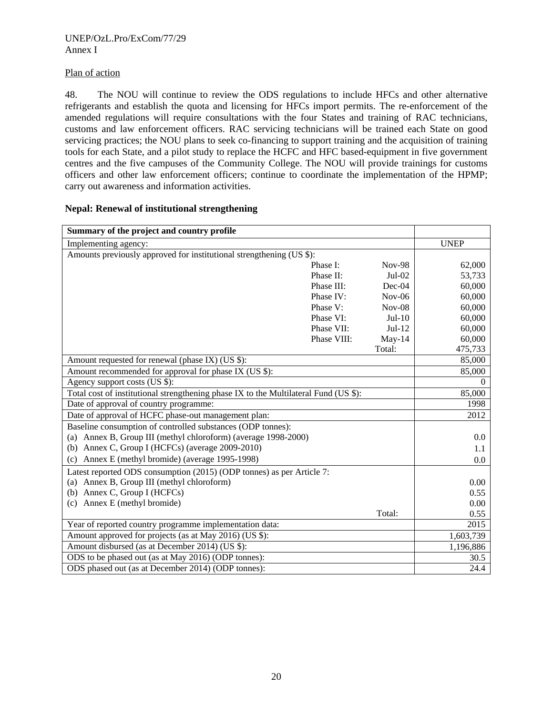## Plan of action

48. The NOU will continue to review the ODS regulations to include HFCs and other alternative refrigerants and establish the quota and licensing for HFCs import permits. The re-enforcement of the amended regulations will require consultations with the four States and training of RAC technicians, customs and law enforcement officers. RAC servicing technicians will be trained each State on good servicing practices; the NOU plans to seek co-financing to support training and the acquisition of training tools for each State, and a pilot study to replace the HCFC and HFC based-equipment in five government centres and the five campuses of the Community College. The NOU will provide trainings for customs officers and other law enforcement officers; continue to coordinate the implementation of the HPMP; carry out awareness and information activities.

| Summary of the project and country profile                                           |             |               |             |
|--------------------------------------------------------------------------------------|-------------|---------------|-------------|
| Implementing agency:                                                                 |             |               | <b>UNEP</b> |
| Amounts previously approved for institutional strengthening (US \$):                 |             |               |             |
|                                                                                      | Phase I:    | <b>Nov-98</b> | 62,000      |
|                                                                                      | Phase II:   | $Jul-02$      | 53,733      |
|                                                                                      | Phase III:  | Dec-04        | 60,000      |
|                                                                                      | Phase IV:   | $Nov-06$      | 60,000      |
|                                                                                      | Phase V:    | $Nov-08$      | 60,000      |
|                                                                                      | Phase VI:   | $Jul-10$      | 60,000      |
|                                                                                      | Phase VII:  | $Jul-12$      | 60,000      |
|                                                                                      | Phase VIII: | $May-14$      | 60,000      |
|                                                                                      |             | Total:        | 475,733     |
| Amount requested for renewal (phase IX) (US \$):                                     |             |               | 85,000      |
| Amount recommended for approval for phase IX (US \$):                                |             |               | 85,000      |
| Agency support costs (US \$):                                                        |             |               | $\Omega$    |
| Total cost of institutional strengthening phase IX to the Multilateral Fund (US \$): |             |               | 85,000      |
| Date of approval of country programme:                                               |             |               | 1998        |
| Date of approval of HCFC phase-out management plan:                                  |             |               | 2012        |
| Baseline consumption of controlled substances (ODP tonnes):                          |             |               |             |
| (a) Annex B, Group III (methyl chloroform) (average 1998-2000)                       |             |               | $0.0\,$     |
| (b) Annex C, Group I (HCFCs) (average $2009-2010$ )                                  |             |               | 1.1         |
| Annex E (methyl bromide) (average 1995-1998)<br>(c)                                  |             |               | 0.0         |
| Latest reported ODS consumption (2015) (ODP tonnes) as per Article 7:                |             |               |             |
| (a) Annex B, Group III (methyl chloroform)                                           |             |               | 0.00        |
| Annex C, Group I (HCFCs)<br>(b)                                                      |             |               | 0.55        |
| (c) Annex E (methyl bromide)                                                         |             |               | 0.00        |
|                                                                                      |             | Total:        | 0.55        |
| Year of reported country programme implementation data:                              |             |               | 2015        |
| Amount approved for projects (as at May 2016) (US \$):                               |             |               | 1,603,739   |
| Amount disbursed (as at December 2014) (US \$):                                      |             |               | 1,196,886   |
| ODS to be phased out (as at May 2016) (ODP tonnes):                                  |             |               | 30.5        |
| ODS phased out (as at December 2014) (ODP tonnes):                                   |             |               | 24.4        |

## **Nepal: Renewal of institutional strengthening**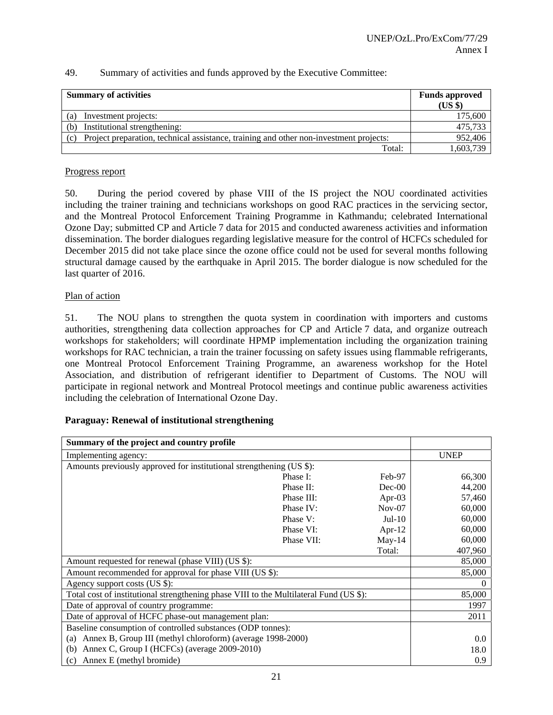| <b>Summary of activities</b>                                                                  | <b>Funds approved</b><br>(US \$) |
|-----------------------------------------------------------------------------------------------|----------------------------------|
| Investment projects:<br>(a)                                                                   | 175,600                          |
| Institutional strengthening:<br>(b)                                                           | 475,733                          |
| Project preparation, technical assistance, training and other non-investment projects:<br>(c) | 952,406                          |
| Total:                                                                                        | 1,603,739                        |

### Progress report

50. During the period covered by phase VIII of the IS project the NOU coordinated activities including the trainer training and technicians workshops on good RAC practices in the servicing sector, and the Montreal Protocol Enforcement Training Programme in Kathmandu; celebrated International Ozone Day; submitted CP and Article 7 data for 2015 and conducted awareness activities and information dissemination. The border dialogues regarding legislative measure for the control of HCFCs scheduled for December 2015 did not take place since the ozone office could not be used for several months following structural damage caused by the earthquake in April 2015. The border dialogue is now scheduled for the last quarter of 2016.

### Plan of action

51. The NOU plans to strengthen the quota system in coordination with importers and customs authorities, strengthening data collection approaches for CP and Article 7 data, and organize outreach workshops for stakeholders; will coordinate HPMP implementation including the organization training workshops for RAC technician, a train the trainer focussing on safety issues using flammable refrigerants, one Montreal Protocol Enforcement Training Programme, an awareness workshop for the Hotel Association, and distribution of refrigerant identifier to Department of Customs. The NOU will participate in regional network and Montreal Protocol meetings and continue public awareness activities including the celebration of International Ozone Day.

### **Paraguay: Renewal of institutional strengthening**

| Summary of the project and country profile                                             |            |           |             |
|----------------------------------------------------------------------------------------|------------|-----------|-------------|
| Implementing agency:                                                                   |            |           | <b>UNEP</b> |
| Amounts previously approved for institutional strengthening (US \$):                   |            |           |             |
|                                                                                        | Phase I:   | Feb-97    | 66,300      |
|                                                                                        | Phase II:  | $Dec-00$  | 44,200      |
|                                                                                        | Phase III: | Apr-03    | 57,460      |
|                                                                                        | Phase IV:  | $Nov-07$  | 60,000      |
|                                                                                        | Phase V:   | $Jul-10$  | 60,000      |
|                                                                                        | Phase VI:  | Apr- $12$ | 60,000      |
|                                                                                        | Phase VII: | $May-14$  | 60,000      |
|                                                                                        |            | Total:    | 407,960     |
| Amount requested for renewal (phase VIII) (US \$):                                     |            |           | 85,000      |
| Amount recommended for approval for phase VIII (US \$):                                |            |           | 85,000      |
| Agency support costs (US \$):                                                          |            |           | 0           |
| Total cost of institutional strengthening phase VIII to the Multilateral Fund (US \$): |            |           | 85,000      |
| Date of approval of country programme:                                                 |            |           | 1997        |
| Date of approval of HCFC phase-out management plan:                                    |            |           | 2011        |
| Baseline consumption of controlled substances (ODP tonnes):                            |            |           |             |
| Annex B, Group III (methyl chloroform) (average 1998-2000)<br>(a)                      |            |           | 0.0         |
| Annex C, Group I (HCFCs) (average 2009-2010)<br>(b)                                    |            |           | 18.0        |
| (c) Annex E (methyl bromide)                                                           |            |           | 0.9         |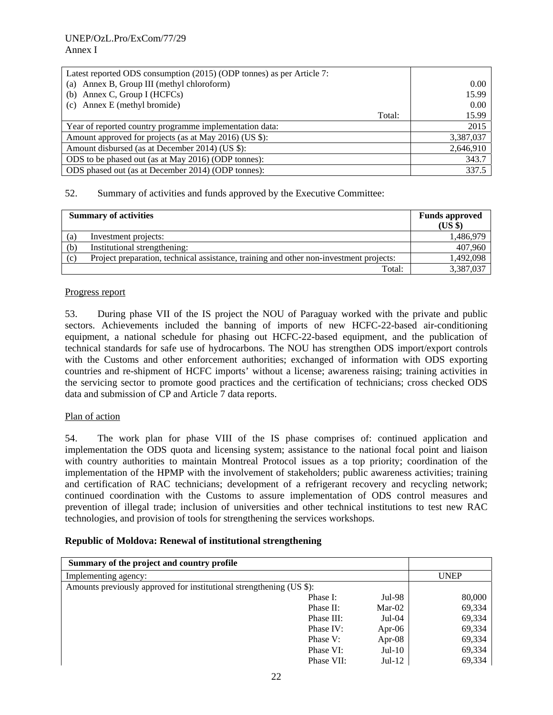| Latest reported ODS consumption (2015) (ODP tonnes) as per Article 7: |        |           |
|-----------------------------------------------------------------------|--------|-----------|
| (a) Annex B, Group III (methyl chloroform)                            |        | 0.00      |
| (b) Annex C, Group I (HCFCs)                                          |        | 15.99     |
| (c) Annex E (methyl bromide)                                          |        | 0.00      |
|                                                                       | Total: | 15.99     |
| Year of reported country programme implementation data:               |        | 2015      |
| Amount approved for projects (as at May 2016) (US \$):                |        | 3,387,037 |
| Amount disbursed (as at December 2014) (US \$):                       |        | 2,646,910 |
| ODS to be phased out (as at May 2016) (ODP tonnes):                   |        | 343.7     |
| ODS phased out (as at December 2014) (ODP tonnes):                    |        | 337.5     |

| <b>Summary of activities</b> |                                                                                        | <b>Funds approved</b><br>(US \$) |
|------------------------------|----------------------------------------------------------------------------------------|----------------------------------|
| (a)                          | Investment projects:                                                                   | 1,486,979                        |
| (b)                          | Institutional strengthening:                                                           | 407,960                          |
| (c)                          | Project preparation, technical assistance, training and other non-investment projects: | 1,492,098                        |
|                              | Total:                                                                                 | 3,387,037                        |

### Progress report

53. During phase VII of the IS project the NOU of Paraguay worked with the private and public sectors. Achievements included the banning of imports of new HCFC-22-based air-conditioning equipment, a national schedule for phasing out HCFC-22-based equipment, and the publication of technical standards for safe use of hydrocarbons. The NOU has strengthen ODS import/export controls with the Customs and other enforcement authorities; exchanged of information with ODS exporting countries and re-shipment of HCFC imports' without a license; awareness raising; training activities in the servicing sector to promote good practices and the certification of technicians; cross checked ODS data and submission of CP and Article 7 data reports.

### Plan of action

54. The work plan for phase VIII of the IS phase comprises of: continued application and implementation the ODS quota and licensing system; assistance to the national focal point and liaison with country authorities to maintain Montreal Protocol issues as a top priority; coordination of the implementation of the HPMP with the involvement of stakeholders; public awareness activities; training and certification of RAC technicians; development of a refrigerant recovery and recycling network; continued coordination with the Customs to assure implementation of ODS control measures and prevention of illegal trade; inclusion of universities and other technical institutions to test new RAC technologies, and provision of tools for strengthening the services workshops.

### **Republic of Moldova: Renewal of institutional strengthening**

| Summary of the project and country profile                           |            |           |             |
|----------------------------------------------------------------------|------------|-----------|-------------|
| Implementing agency:                                                 |            |           | <b>UNEP</b> |
| Amounts previously approved for institutional strengthening (US \$): |            |           |             |
|                                                                      | Phase I:   | $Jul-98$  | 80,000      |
|                                                                      | Phase II:  | $Mar-02$  | 69,334      |
|                                                                      | Phase III: | $Jul-04$  | 69,334      |
|                                                                      | Phase IV:  | Apr-06    | 69,334      |
|                                                                      | Phase V:   | Apr- $08$ | 69,334      |
|                                                                      | Phase VI:  | $Jul-10$  | 69,334      |
|                                                                      | Phase VII: | $Jul-12$  | 69.334      |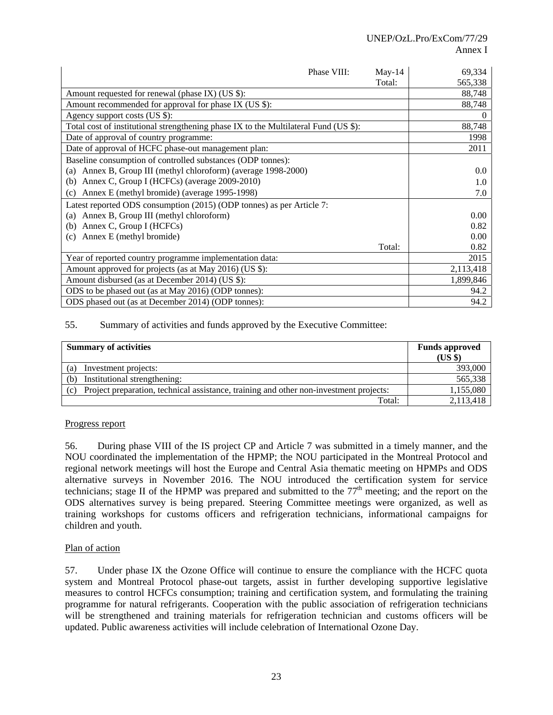| Phase VIII:                                                                          | $May-14$ | 69,334    |
|--------------------------------------------------------------------------------------|----------|-----------|
|                                                                                      | Total:   | 565,338   |
| Amount requested for renewal (phase IX) (US \$):                                     |          | 88,748    |
| Amount recommended for approval for phase IX (US \$):                                |          | 88,748    |
| Agency support costs (US \$):                                                        |          |           |
| Total cost of institutional strengthening phase IX to the Multilateral Fund (US \$): |          | 88,748    |
| Date of approval of country programme:                                               |          | 1998      |
| Date of approval of HCFC phase-out management plan:                                  |          | 2011      |
| Baseline consumption of controlled substances (ODP tonnes):                          |          |           |
| Annex B, Group III (methyl chloroform) (average 1998-2000)<br>(a)                    |          | 0.0       |
| Annex C, Group I (HCFCs) (average 2009-2010)<br>(b)                                  |          | 1.0       |
| Annex E (methyl bromide) (average 1995-1998)<br>(c)                                  |          | 7.0       |
| Latest reported ODS consumption (2015) (ODP tonnes) as per Article 7:                |          |           |
| Annex B, Group III (methyl chloroform)<br>(a)                                        |          | 0.00      |
| Annex C, Group I (HCFCs)<br>(b)                                                      |          | 0.82      |
| Annex E (methyl bromide)<br>(c)                                                      |          | 0.00      |
|                                                                                      | Total:   | 0.82      |
| Year of reported country programme implementation data:                              |          | 2015      |
| Amount approved for projects (as at May 2016) (US \$):                               |          | 2,113,418 |
| Amount disbursed (as at December 2014) (US \$):                                      |          | 1,899,846 |
| ODS to be phased out (as at May 2016) (ODP tonnes):                                  |          | 94.2      |
| ODS phased out (as at December 2014) (ODP tonnes):                                   |          | 94.2      |

| <b>Summary of activities</b>                                                                  | <b>Funds approved</b><br>(US \$) |
|-----------------------------------------------------------------------------------------------|----------------------------------|
| Investment projects:<br>(a)                                                                   | 393,000                          |
| Institutional strengthening:<br>(b)                                                           | 565,338                          |
| Project preparation, technical assistance, training and other non-investment projects:<br>(c) | 1,155,080                        |
| Total:                                                                                        | 2,113,418                        |

### Progress report

56. During phase VIII of the IS project CP and Article 7 was submitted in a timely manner, and the NOU coordinated the implementation of the HPMP; the NOU participated in the Montreal Protocol and regional network meetings will host the Europe and Central Asia thematic meeting on HPMPs and ODS alternative surveys in November 2016. The NOU introduced the certification system for service technicians; stage II of the HPMP was prepared and submitted to the  $77<sup>th</sup>$  meeting; and the report on the ODS alternatives survey is being prepared. Steering Committee meetings were organized, as well as training workshops for customs officers and refrigeration technicians, informational campaigns for children and youth.

### Plan of action

57. Under phase IX the Ozone Office will continue to ensure the compliance with the HCFC quota system and Montreal Protocol phase-out targets, assist in further developing supportive legislative measures to control HCFCs consumption; training and certification system, and formulating the training programme for natural refrigerants. Cooperation with the public association of refrigeration technicians will be strengthened and training materials for refrigeration technician and customs officers will be updated. Public awareness activities will include celebration of International Ozone Day.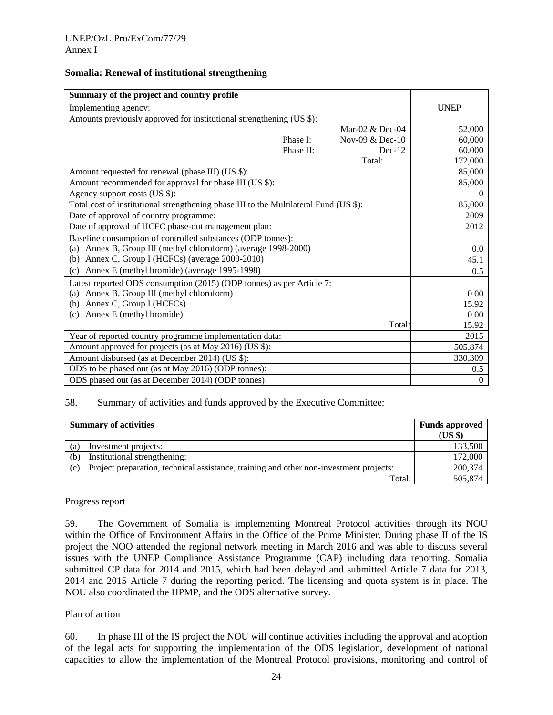#### **Somalia: Renewal of institutional strengthening**

| Summary of the project and country profile                                            |           |                 |              |
|---------------------------------------------------------------------------------------|-----------|-----------------|--------------|
| Implementing agency:                                                                  |           |                 | <b>UNEP</b>  |
| Amounts previously approved for institutional strengthening (US \$):                  |           |                 |              |
|                                                                                       |           | Mar-02 & Dec-04 | 52,000       |
|                                                                                       | Phase I:  | Nov-09 & Dec-10 | 60,000       |
|                                                                                       | Phase II: | $Dec-12$        | 60,000       |
|                                                                                       |           | Total:          | 172,000      |
| Amount requested for renewal (phase III) (US \$):                                     |           |                 | 85,000       |
| Amount recommended for approval for phase III (US \$):                                |           |                 | 85,000       |
| Agency support costs (US \$):                                                         |           |                 | $\Omega$     |
| Total cost of institutional strengthening phase III to the Multilateral Fund (US \$): |           |                 | 85,000       |
| Date of approval of country programme:                                                |           |                 | 2009         |
| Date of approval of HCFC phase-out management plan:                                   |           |                 | 2012         |
| Baseline consumption of controlled substances (ODP tonnes):                           |           |                 |              |
| Annex B, Group III (methyl chloroform) (average 1998-2000)<br>(a)                     |           |                 | 0.0          |
| Annex C, Group I (HCFCs) (average 2009-2010)<br>(b)                                   |           |                 | 45.1         |
| Annex E (methyl bromide) (average 1995-1998)<br>(c)                                   |           |                 | 0.5          |
| Latest reported ODS consumption (2015) (ODP tonnes) as per Article 7:                 |           |                 |              |
| (a) Annex B, Group III (methyl chloroform)                                            |           |                 | 0.00         |
| Annex C, Group I (HCFCs)<br>(b)                                                       |           |                 | 15.92        |
| (c) Annex E (methyl bromide)                                                          |           |                 | 0.00         |
|                                                                                       |           | Total:          | 15.92        |
| Year of reported country programme implementation data:                               |           |                 | 2015         |
| Amount approved for projects (as at May 2016) (US \$):                                |           |                 | 505,874      |
| Amount disbursed (as at December 2014) (US \$):                                       |           |                 | 330,309      |
| ODS to be phased out (as at May 2016) (ODP tonnes):                                   |           |                 | 0.5          |
| ODS phased out (as at December 2014) (ODP tonnes):                                    |           |                 | $\mathbf{0}$ |

#### 58. Summary of activities and funds approved by the Executive Committee:

| <b>Summary of activities</b> |                                                                                        | <b>Funds approved</b> |
|------------------------------|----------------------------------------------------------------------------------------|-----------------------|
|                              |                                                                                        | $(US \$               |
| a)                           | Investment projects:                                                                   | 133,500               |
| (b)                          | Institutional strengthening:                                                           | 172,000               |
| (c)                          | Project preparation, technical assistance, training and other non-investment projects: | 200,374               |
|                              | Total:                                                                                 | 505,874               |

#### Progress report

59. The Government of Somalia is implementing Montreal Protocol activities through its NOU within the Office of Environment Affairs in the Office of the Prime Minister. During phase II of the IS project the NOO attended the regional network meeting in March 2016 and was able to discuss several issues with the UNEP Compliance Assistance Programme (CAP) including data reporting. Somalia submitted CP data for 2014 and 2015, which had been delayed and submitted Article 7 data for 2013, 2014 and 2015 Article 7 during the reporting period. The licensing and quota system is in place. The NOU also coordinated the HPMP, and the ODS alternative survey.

#### Plan of action

60. In phase III of the IS project the NOU will continue activities including the approval and adoption of the legal acts for supporting the implementation of the ODS legislation, development of national capacities to allow the implementation of the Montreal Protocol provisions, monitoring and control of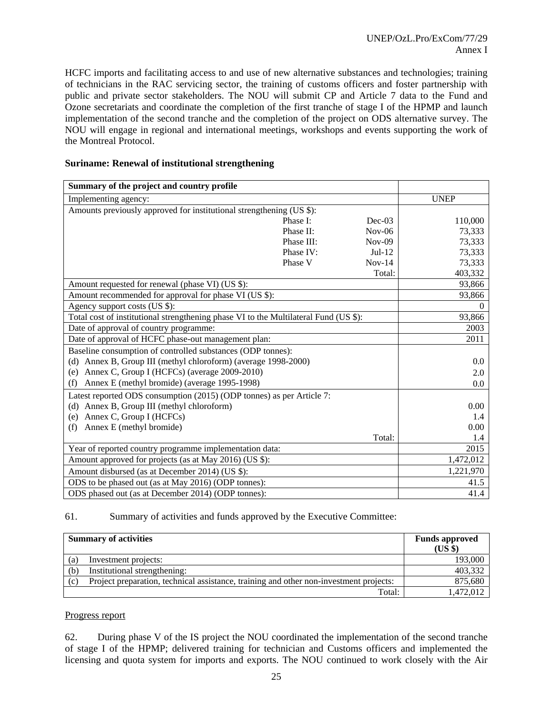HCFC imports and facilitating access to and use of new alternative substances and technologies; training of technicians in the RAC servicing sector, the training of customs officers and foster partnership with public and private sector stakeholders. The NOU will submit CP and Article 7 data to the Fund and Ozone secretariats and coordinate the completion of the first tranche of stage I of the HPMP and launch implementation of the second tranche and the completion of the project on ODS alternative survey. The NOU will engage in regional and international meetings, workshops and events supporting the work of the Montreal Protocol.

|  |  | <b>Suriname: Renewal of institutional strengthening</b> |
|--|--|---------------------------------------------------------|
|--|--|---------------------------------------------------------|

| Summary of the project and country profile                                           |            |          |             |
|--------------------------------------------------------------------------------------|------------|----------|-------------|
| Implementing agency:                                                                 |            |          | <b>UNEP</b> |
| Amounts previously approved for institutional strengthening (US \$):                 |            |          |             |
|                                                                                      | Phase I:   | $Dec-03$ | 110,000     |
|                                                                                      | Phase II:  | $Nov-06$ | 73,333      |
|                                                                                      | Phase III: | $Nov-09$ | 73,333      |
|                                                                                      | Phase IV:  | $Jul-12$ | 73,333      |
|                                                                                      | Phase V    | $Nov-14$ | 73,333      |
|                                                                                      |            | Total:   | 403,332     |
| Amount requested for renewal (phase VI) (US \$):                                     |            |          | 93,866      |
| Amount recommended for approval for phase VI (US \$):                                |            |          | 93,866      |
| Agency support costs (US \$):                                                        |            |          | $\Omega$    |
| Total cost of institutional strengthening phase VI to the Multilateral Fund (US \$): |            |          | 93,866      |
| Date of approval of country programme:                                               |            |          | 2003        |
| Date of approval of HCFC phase-out management plan:                                  |            |          | 2011        |
| Baseline consumption of controlled substances (ODP tonnes):                          |            |          |             |
| (d) Annex B, Group III (methyl chloroform) (average 1998-2000)                       |            |          | 0.0         |
| (e) Annex C, Group I (HCFCs) (average 2009-2010)                                     |            |          | 2.0         |
| Annex E (methyl bromide) (average 1995-1998)<br>(f)                                  |            |          | 0.0         |
| Latest reported ODS consumption (2015) (ODP tonnes) as per Article 7:                |            |          |             |
| (d) Annex B, Group III (methyl chloroform)                                           |            |          | 0.00        |
| Annex C, Group I (HCFCs)<br>(e)                                                      |            |          | 1.4         |
| Annex E (methyl bromide)<br>(f)                                                      |            |          | 0.00        |
|                                                                                      |            | Total:   | 1.4         |
| Year of reported country programme implementation data:                              |            |          | 2015        |
| Amount approved for projects (as at May 2016) (US \$):                               |            |          | 1,472,012   |
| Amount disbursed (as at December 2014) (US \$):                                      |            |          | 1,221,970   |
| ODS to be phased out (as at May 2016) (ODP tonnes):                                  |            |          | 41.5        |
| ODS phased out (as at December 2014) (ODP tonnes):                                   |            |          | 41.4        |

61. Summary of activities and funds approved by the Executive Committee:

|     | <b>Summary of activities</b>                                                           | <b>Funds approved</b><br>(USS) |
|-----|----------------------------------------------------------------------------------------|--------------------------------|
| (a) | Investment projects:                                                                   | 193,000                        |
| (b) | Institutional strengthening:                                                           | 403,332                        |
| (c) | Project preparation, technical assistance, training and other non-investment projects: | 875,680                        |
|     | Total:                                                                                 | 1.472.012                      |

#### Progress report

62. During phase V of the IS project the NOU coordinated the implementation of the second tranche of stage I of the HPMP; delivered training for technician and Customs officers and implemented the licensing and quota system for imports and exports. The NOU continued to work closely with the Air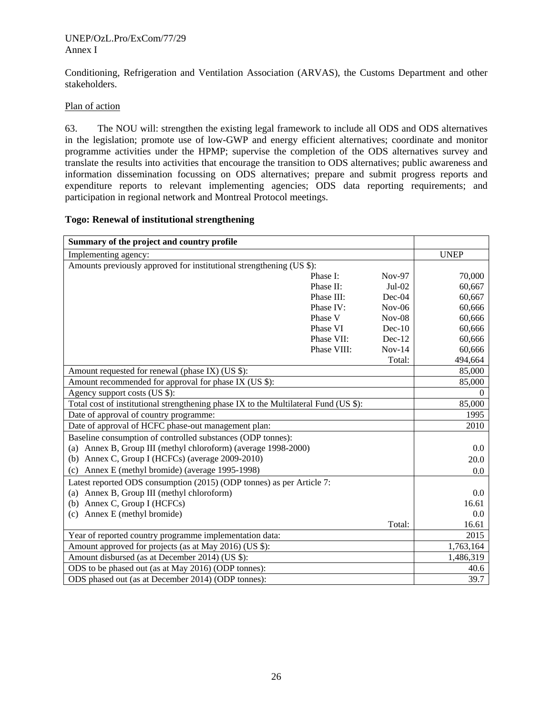#### UNEP/OzL.Pro/ExCom/77/29 Annex I

Conditioning, Refrigeration and Ventilation Association (ARVAS), the Customs Department and other stakeholders.

### Plan of action

63. The NOU will: strengthen the existing legal framework to include all ODS and ODS alternatives in the legislation; promote use of low-GWP and energy efficient alternatives; coordinate and monitor programme activities under the HPMP; supervise the completion of the ODS alternatives survey and translate the results into activities that encourage the transition to ODS alternatives; public awareness and information dissemination focussing on ODS alternatives; prepare and submit progress reports and expenditure reports to relevant implementing agencies; ODS data reporting requirements; and participation in regional network and Montreal Protocol meetings.

#### **Togo: Renewal of institutional strengthening**

| Summary of the project and country profile                                           |             |          |             |
|--------------------------------------------------------------------------------------|-------------|----------|-------------|
| Implementing agency:                                                                 |             |          | <b>UNEP</b> |
| Amounts previously approved for institutional strengthening (US \$):                 |             |          |             |
|                                                                                      | Phase I:    | $Nov-97$ | 70,000      |
|                                                                                      | Phase II:   | $Jul-02$ | 60,667      |
|                                                                                      | Phase III:  | $Dec-04$ | 60,667      |
|                                                                                      | Phase IV:   | $Nov-06$ | 60,666      |
|                                                                                      | Phase V     | $Nov-08$ | 60,666      |
|                                                                                      | Phase VI    | $Dec-10$ | 60,666      |
|                                                                                      | Phase VII:  | $Dec-12$ | 60,666      |
|                                                                                      | Phase VIII: | $Nov-14$ | 60,666      |
|                                                                                      |             | Total:   | 494,664     |
| Amount requested for renewal (phase IX) (US \$):                                     |             |          | 85,000      |
| Amount recommended for approval for phase IX (US \$):                                |             |          | 85,000      |
| Agency support costs (US \$):                                                        |             |          | $\Omega$    |
| Total cost of institutional strengthening phase IX to the Multilateral Fund (US \$): |             |          | 85,000      |
| Date of approval of country programme:                                               |             |          | 1995        |
| Date of approval of HCFC phase-out management plan:                                  |             |          | 2010        |
| Baseline consumption of controlled substances (ODP tonnes):                          |             |          |             |
| (a) Annex B, Group III (methyl chloroform) (average 1998-2000)                       |             |          | 0.0         |
| (b) Annex C, Group I (HCFCs) (average $2009-2010$ )                                  |             |          | 20.0        |
| Annex E (methyl bromide) (average 1995-1998)<br>(c)                                  |             |          | 0.0         |
| Latest reported ODS consumption (2015) (ODP tonnes) as per Article 7:                |             |          |             |
| (a) Annex B, Group III (methyl chloroform)                                           |             |          | 0.0         |
| Annex C, Group I (HCFCs)<br>(b)                                                      |             |          | 16.61       |
| (c) Annex E (methyl bromide)                                                         |             |          | 0.0         |
|                                                                                      |             | Total:   | 16.61       |
| Year of reported country programme implementation data:                              |             |          | 2015        |
| Amount approved for projects (as at May 2016) (US \$):                               |             |          | 1,763,164   |
| Amount disbursed (as at December 2014) (US \$):                                      |             |          | 1,486,319   |
| ODS to be phased out (as at May 2016) (ODP tonnes):                                  |             |          | 40.6        |
| ODS phased out (as at December 2014) (ODP tonnes):                                   |             |          | 39.7        |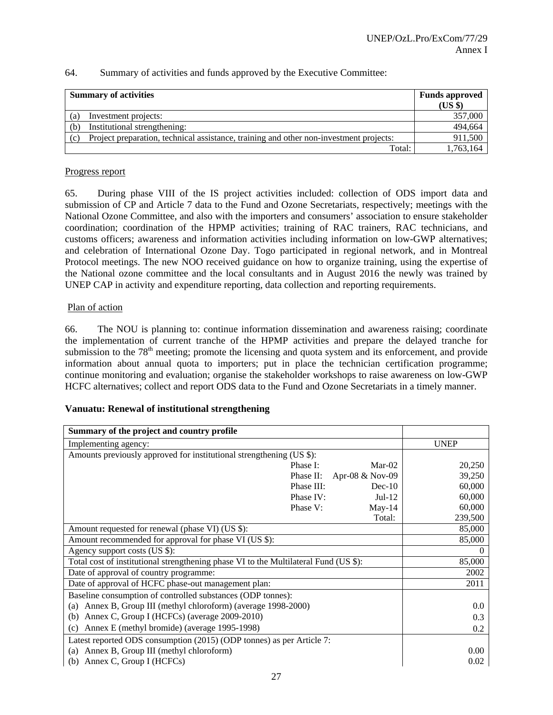| <b>Summary of activities</b> |                                                                                        | <b>Funds approved</b><br>$(US \$ |
|------------------------------|----------------------------------------------------------------------------------------|----------------------------------|
| (a)                          | Investment projects:                                                                   | 357,000                          |
| (b)                          | Institutional strengthening:                                                           | 494,664                          |
| (c)                          | Project preparation, technical assistance, training and other non-investment projects: | 911,500                          |
|                              | Total:                                                                                 | 1,763,164                        |

#### Progress report

65. During phase VIII of the IS project activities included: collection of ODS import data and submission of CP and Article 7 data to the Fund and Ozone Secretariats, respectively; meetings with the National Ozone Committee, and also with the importers and consumers' association to ensure stakeholder coordination; coordination of the HPMP activities; training of RAC trainers, RAC technicians, and customs officers; awareness and information activities including information on low-GWP alternatives; and celebration of International Ozone Day. Togo participated in regional network, and in Montreal Protocol meetings. The new NOO received guidance on how to organize training, using the expertise of the National ozone committee and the local consultants and in August 2016 the newly was trained by UNEP CAP in activity and expenditure reporting, data collection and reporting requirements.

#### Plan of action

66. The NOU is planning to: continue information dissemination and awareness raising; coordinate the implementation of current tranche of the HPMP activities and prepare the delayed tranche for submission to the 78<sup>th</sup> meeting; promote the licensing and quota system and its enforcement, and provide information about annual quota to importers; put in place the technician certification programme; continue monitoring and evaluation; organise the stakeholder workshops to raise awareness on low-GWP HCFC alternatives; collect and report ODS data to the Fund and Ozone Secretariats in a timely manner.

### **Vanuatu: Renewal of institutional strengthening**

| Summary of the project and country profile                                           |             |
|--------------------------------------------------------------------------------------|-------------|
| Implementing agency:                                                                 | <b>UNEP</b> |
| Amounts previously approved for institutional strengthening (US \$):                 |             |
| Phase I:<br>$Mar-02$                                                                 | 20,250      |
| Phase II: Apr-08 & Nov-09                                                            | 39,250      |
| Phase III:<br>$Dec-10$                                                               | 60,000      |
| Phase IV:<br>$Jul-12$                                                                | 60,000      |
| Phase V:<br>May-14                                                                   | 60,000      |
| Total:                                                                               | 239,500     |
| Amount requested for renewal (phase VI) (US \$):                                     | 85,000      |
| Amount recommended for approval for phase VI (US \$):                                | 85,000      |
| Agency support costs (US \$):                                                        |             |
| Total cost of institutional strengthening phase VI to the Multilateral Fund (US \$): | 85,000      |
| Date of approval of country programme:                                               | 2002        |
| Date of approval of HCFC phase-out management plan:                                  | 2011        |
| Baseline consumption of controlled substances (ODP tonnes):                          |             |
| (a) Annex B, Group III (methyl chloroform) (average 1998-2000)                       | 0.0         |
| Annex C, Group I (HCFCs) (average 2009-2010)<br>(b)                                  | 0.3         |
| Annex E (methyl bromide) (average 1995-1998)<br>(c)                                  | 0.2         |
| Latest reported ODS consumption (2015) (ODP tonnes) as per Article 7:                |             |
| (a) Annex B, Group III (methyl chloroform)                                           | 0.00        |
| Annex C, Group I (HCFCs)<br>(b)                                                      | 0.02        |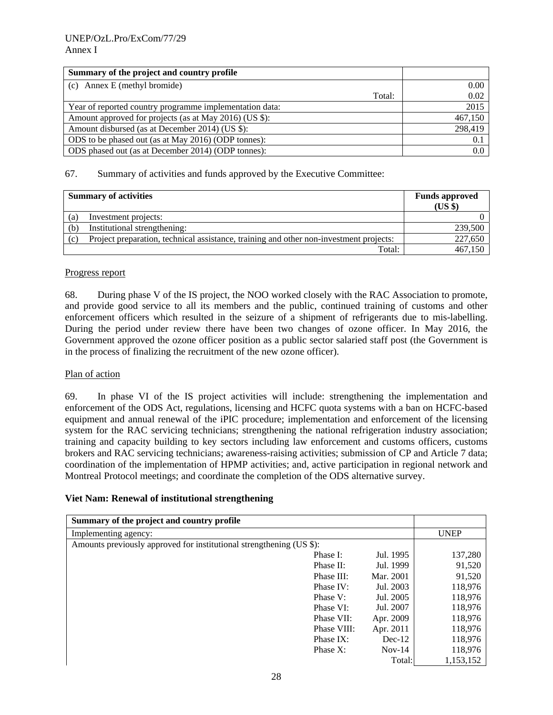| Summary of the project and country profile              |         |
|---------------------------------------------------------|---------|
| (c) Annex E (methyl bromide)                            | 0.00    |
| Total:                                                  | 0.02    |
| Year of reported country programme implementation data: | 2015    |
| Amount approved for projects (as at May 2016) (US \$):  | 467,150 |
| Amount disbursed (as at December 2014) (US \$):         | 298,419 |
| ODS to be phased out (as at May 2016) (ODP tonnes):     | 0.1     |
| ODS phased out (as at December 2014) (ODP tonnes):      | 0.0     |

|     | <b>Summary of activities</b>                                                           | <b>Funds approved</b><br>(US \$) |
|-----|----------------------------------------------------------------------------------------|----------------------------------|
| (a) | Investment projects:                                                                   |                                  |
| (b) | Institutional strengthening:                                                           | 239,500                          |
| (c) | Project preparation, technical assistance, training and other non-investment projects: | 227,650                          |
|     | Total:                                                                                 | 467.150                          |

### Progress report

68. During phase V of the IS project, the NOO worked closely with the RAC Association to promote, and provide good service to all its members and the public, continued training of customs and other enforcement officers which resulted in the seizure of a shipment of refrigerants due to mis-labelling. During the period under review there have been two changes of ozone officer. In May 2016, the Government approved the ozone officer position as a public sector salaried staff post (the Government is in the process of finalizing the recruitment of the new ozone officer).

### Plan of action

69. In phase VI of the IS project activities will include: strengthening the implementation and enforcement of the ODS Act, regulations, licensing and HCFC quota systems with a ban on HCFC-based equipment and annual renewal of the iPIC procedure; implementation and enforcement of the licensing system for the RAC servicing technicians; strengthening the national refrigeration industry association; training and capacity building to key sectors including law enforcement and customs officers, customs brokers and RAC servicing technicians; awareness-raising activities; submission of CP and Article 7 data; coordination of the implementation of HPMP activities; and, active participation in regional network and Montreal Protocol meetings; and coordinate the completion of the ODS alternative survey.

### **Viet Nam: Renewal of institutional strengthening**

| Summary of the project and country profile                           |             |           |             |
|----------------------------------------------------------------------|-------------|-----------|-------------|
| Implementing agency:                                                 |             |           | <b>UNEP</b> |
| Amounts previously approved for institutional strengthening (US \$): |             |           |             |
|                                                                      | Phase I:    | Jul. 1995 | 137,280     |
|                                                                      | Phase II:   | Jul. 1999 | 91,520      |
|                                                                      | Phase III:  | Mar. 2001 | 91,520      |
|                                                                      | Phase IV:   | Jul. 2003 | 118,976     |
|                                                                      | Phase V:    | Jul. 2005 | 118,976     |
|                                                                      | Phase VI:   | Jul. 2007 | 118,976     |
|                                                                      | Phase VII:  | Apr. 2009 | 118,976     |
|                                                                      | Phase VIII: | Apr. 2011 | 118,976     |
|                                                                      | Phase IX:   | $Dec-12$  | 118,976     |
|                                                                      | Phase X:    | $Nov-14$  | 118,976     |
|                                                                      |             | Total:    | 1,153,152   |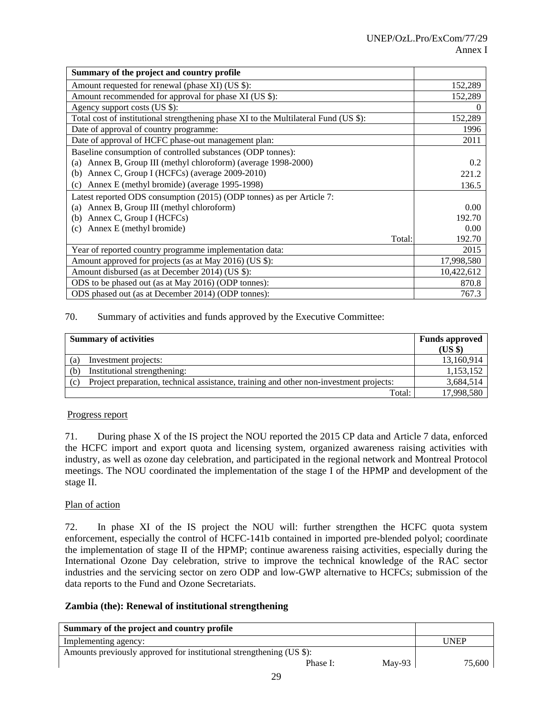| Summary of the project and country profile                                           |            |
|--------------------------------------------------------------------------------------|------------|
| Amount requested for renewal (phase XI) (US \$):                                     | 152,289    |
| Amount recommended for approval for phase XI (US \$):                                | 152,289    |
| Agency support costs (US \$):                                                        | 0          |
| Total cost of institutional strengthening phase XI to the Multilateral Fund (US \$): | 152,289    |
| Date of approval of country programme:                                               | 1996       |
| Date of approval of HCFC phase-out management plan:                                  | 2011       |
| Baseline consumption of controlled substances (ODP tonnes):                          |            |
| Annex B, Group III (methyl chloroform) (average 1998-2000)<br>(a)                    | 0.2        |
| Annex C, Group I (HCFCs) (average 2009-2010)<br>(b)                                  | 221.2      |
| Annex E (methyl bromide) (average 1995-1998)<br>(c)                                  | 136.5      |
| Latest reported ODS consumption (2015) (ODP tonnes) as per Article 7:                |            |
| (a) Annex B, Group III (methyl chloroform)                                           | 0.00       |
| Annex C, Group I (HCFCs)<br>(b)                                                      | 192.70     |
| Annex E (methyl bromide)<br>(c)                                                      | 0.00       |
| Total:                                                                               | 192.70     |
| Year of reported country programme implementation data:                              | 2015       |
| Amount approved for projects (as at May 2016) (US \$):                               | 17,998,580 |
| Amount disbursed (as at December 2014) (US \$):                                      | 10,422,612 |
| ODS to be phased out (as at May 2016) (ODP tonnes):                                  | 870.8      |
| ODS phased out (as at December 2014) (ODP tonnes):                                   | 767.3      |

| <b>Summary of activities</b> |                                                                                        | <b>Funds approved</b> |
|------------------------------|----------------------------------------------------------------------------------------|-----------------------|
|                              |                                                                                        | (US \$)               |
| (a)                          | Investment projects:                                                                   | 13,160,914            |
| (b)                          | Institutional strengthening:                                                           | 1,153,152             |
| (c)                          | Project preparation, technical assistance, training and other non-investment projects: | 3,684,514             |
|                              | Total:                                                                                 | 17,998,580            |

### Progress report

71. During phase X of the IS project the NOU reported the 2015 CP data and Article 7 data, enforced the HCFC import and export quota and licensing system, organized awareness raising activities with industry, as well as ozone day celebration, and participated in the regional network and Montreal Protocol meetings. The NOU coordinated the implementation of the stage I of the HPMP and development of the stage II.

### Plan of action

72. In phase XI of the IS project the NOU will: further strengthen the HCFC quota system enforcement, especially the control of HCFC-141b contained in imported pre-blended polyol; coordinate the implementation of stage II of the HPMP; continue awareness raising activities, especially during the International Ozone Day celebration, strive to improve the technical knowledge of the RAC sector industries and the servicing sector on zero ODP and low-GWP alternative to HCFCs; submission of the data reports to the Fund and Ozone Secretariats.

### **Zambia (the): Renewal of institutional strengthening**

| Summary of the project and country profile                           |        |
|----------------------------------------------------------------------|--------|
| Implementing agency:                                                 | UNEP   |
| Amounts previously approved for institutional strengthening (US \$): |        |
| Mav-93<br>Phase I:                                                   | 75,600 |
| $\sim$                                                               |        |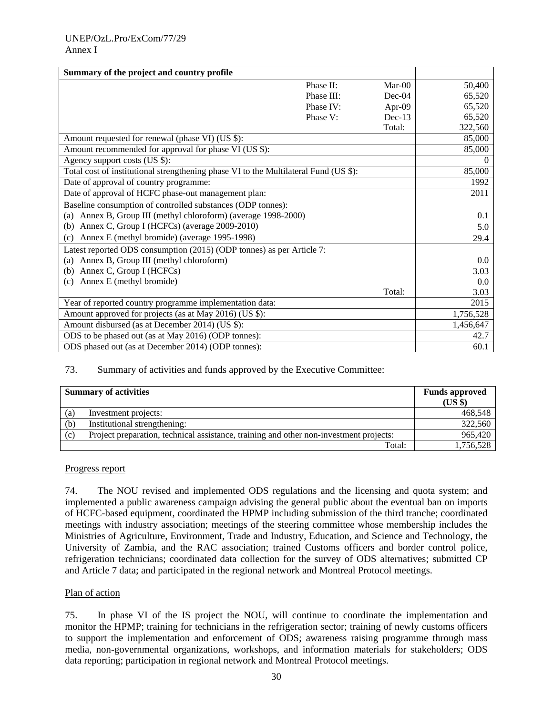| Summary of the project and country profile                                           |           |          |
|--------------------------------------------------------------------------------------|-----------|----------|
| Phase II:                                                                            | $Mar-00$  | 50,400   |
| Phase III:                                                                           | $Dec-04$  | 65,520   |
| Phase IV:                                                                            | Apr-09    | 65,520   |
| Phase V:                                                                             | $Dec-13$  | 65,520   |
|                                                                                      | Total:    | 322,560  |
| Amount requested for renewal (phase VI) (US \$):                                     |           | 85,000   |
| Amount recommended for approval for phase VI (US \$):                                |           | 85,000   |
| Agency support costs (US \$):                                                        |           | $\Omega$ |
| Total cost of institutional strengthening phase VI to the Multilateral Fund (US \$): |           | 85,000   |
| Date of approval of country programme:                                               |           | 1992     |
| Date of approval of HCFC phase-out management plan:                                  | 2011      |          |
| Baseline consumption of controlled substances (ODP tonnes):                          |           |          |
| (a) Annex B, Group III (methyl chloroform) (average 1998-2000)                       | 0.1       |          |
| (b) Annex C, Group I (HCFCs) (average 2009-2010)                                     | 5.0       |          |
| Annex E (methyl bromide) (average 1995-1998)<br>(c)                                  | 29.4      |          |
| Latest reported ODS consumption (2015) (ODP tonnes) as per Article 7:                |           |          |
| Annex B, Group III (methyl chloroform)<br>(a)                                        |           | 0.0      |
| Annex C, Group I (HCFCs)<br>(b)                                                      |           | 3.03     |
| Annex E (methyl bromide)<br>(c)                                                      |           | 0.0      |
|                                                                                      | Total:    | 3.03     |
| Year of reported country programme implementation data:                              | 2015      |          |
| Amount approved for projects (as at May 2016) (US \$):                               | 1,756,528 |          |
| Amount disbursed (as at December 2014) (US \$):                                      | 1,456,647 |          |
| ODS to be phased out (as at May 2016) (ODP tonnes):                                  | 42.7      |          |
| ODS phased out (as at December 2014) (ODP tonnes):                                   |           | 60.1     |

|     | <b>Summary of activities</b>                                                           | <b>Funds approved</b><br>(US \$) |
|-----|----------------------------------------------------------------------------------------|----------------------------------|
| (a) | Investment projects:                                                                   | 468,548                          |
| (b) | Institutional strengthening:                                                           | 322,560                          |
| (c) | Project preparation, technical assistance, training and other non-investment projects: | 965,420                          |
|     | Total:                                                                                 | 1,756,528                        |

### Progress report

74. The NOU revised and implemented ODS regulations and the licensing and quota system; and implemented a public awareness campaign advising the general public about the eventual ban on imports of HCFC-based equipment, coordinated the HPMP including submission of the third tranche; coordinated meetings with industry association; meetings of the steering committee whose membership includes the Ministries of Agriculture, Environment, Trade and Industry, Education, and Science and Technology, the University of Zambia, and the RAC association; trained Customs officers and border control police, refrigeration technicians; coordinated data collection for the survey of ODS alternatives; submitted CP and Article 7 data; and participated in the regional network and Montreal Protocol meetings.

### Plan of action

75. In phase VI of the IS project the NOU, will continue to coordinate the implementation and monitor the HPMP; training for technicians in the refrigeration sector; training of newly customs officers to support the implementation and enforcement of ODS; awareness raising programme through mass media, non-governmental organizations, workshops, and information materials for stakeholders; ODS data reporting; participation in regional network and Montreal Protocol meetings.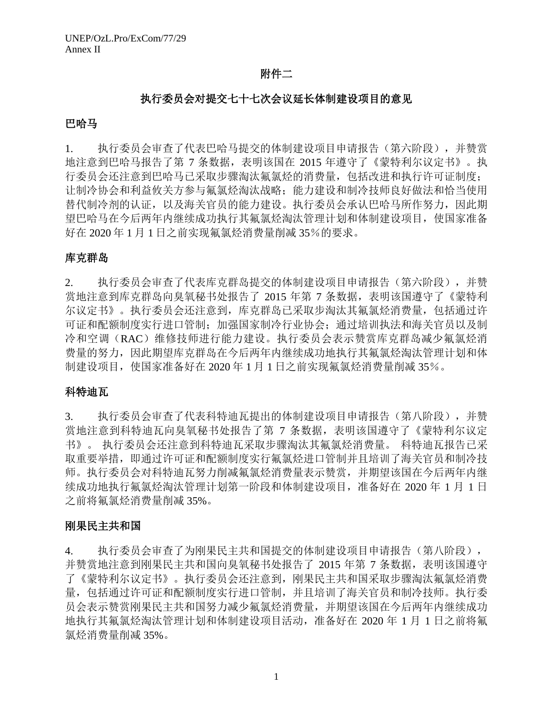## 附件二

## 执行委员会对提交七十七次会议延长体制建设项目的意见

## 巴哈马

1. 执行委员会审查了代表巴哈马提交的体制建设项目申请报告(第六阶段),并赞赏 地注意到巴哈马报告了第 7 条数据,表明该国在 2015 年遵守了《蒙特利尔议定书》。执 行委员会还注意到巴哈马已采取步骤淘汰氟氯烃的消费量,包括改进和执行许可证制度; 让制冷协会和利益攸关方参与氟氯烃淘汰战略;能力建设和制冷技师良好做法和恰当使用 替代制冷剂的认证,以及海关官员的能力建设。执行委员会承认巴哈马所作努力,因此期 望巴哈马在今后两年内继续成功执行其氟氯烃淘汰管理计划和体制建设项目,使国家准备 好在 2020 年 1 月 1 日之前实现氟氯烃消费量削减 35%的要求。

# 库克群岛

2. 执行委员会审查了代表库克群岛提交的体制建设项目申请报告(第六阶段),并赞 赏地注意到库克群岛向臭氧秘书处报告了 2015 年第 7 条数据,表明该国遵守了《蒙特利 尔议定书》。执行委员会还注意到,库克群岛已采取步淘汰其氟氯烃消费量,包括通过许 可证和配额制度实行进口管制;加强国家制冷行业协会;通过培训执法和海关官员以及制 冷和空调(RAC)维修技师进行能力建设。执行委员会表示赞赏库克群岛减少氟氯烃消 费量的努力,因此期望库克群岛在今后两年内继续成功地执行其氟氯烃淘汰管理计划和体 制建设项目,使国家准备好在 2020 年 1 月 1 日之前实现氟氯烃消费量削减 35%。

## 科特迪瓦

3. 执行委员会审查了代表科特迪瓦提出的体制建设项目申请报告(第八阶段),并赞 赏地注意到科特迪瓦向臭氧秘书处报告了第 7 条数据,表明该国遵守了《蒙特利尔议定 书》。 执行委员会还注意到科特迪瓦采取步骤淘汰其氟氯烃消费量。 科特迪瓦报告已采 取重要举措,即通过许可证和配额制度实行氟氯烃进口管制并且培训了海关官员和制冷技 师。执行委员会对科特迪瓦努力削减氟氯烃消费量表示赞赏,并期望该国在今后两年内继 续成功地执行氟氯烃淘汰管理计划第一阶段和体制建设项目,准备好在 2020 年 1 月 1 日 之前将氟氯烃消费量削减 35%。

## 刚果民主共和国

4. 执行委员会审查了为刚果民主共和国提交的体制建设项目申请报告(第八阶段), 并赞赏地注意到刚果民主共和国向臭氧秘书处报告了 2015 年第 7 条数据,表明该国遵守 了《蒙特利尔议定书》。执行委员会还注意到,刚果民主共和国采取步骤淘汰氟氯烃消费 量,包括通过许可证和配额制度实行进口管制,并且培训了海关官员和制冷技师。执行委 员会表示赞赏刚果民主共和国努力减少氟氯烃消费量,并期望该国在今后两年内继续成功 地执行其氟氯烃淘汰管理计划和体制建设项目活动,准备好在 2020 年 1 月 1 日之前将氟 氯烃消费量削减 35%。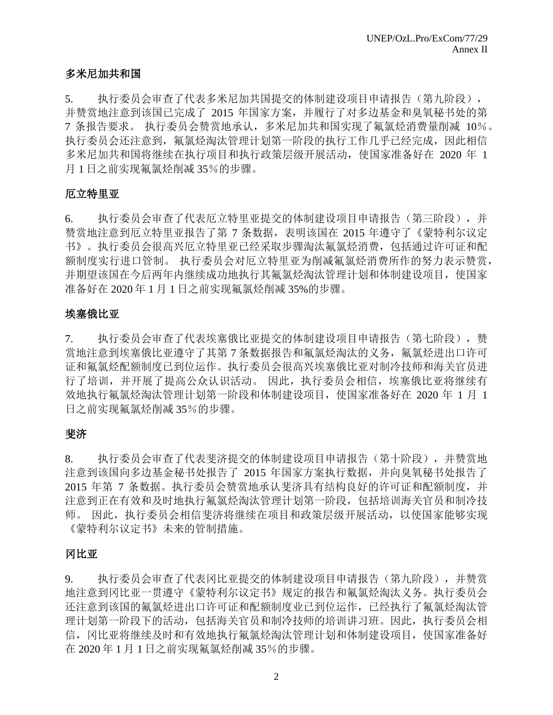# 多米尼加共和国

5. 执行委员会审查了代表多米尼加共国提交的体制建设项目申请报告(第九阶段), 并赞赏地注意到该国已完成了 2015 年国家方案,并履行了对多边基金和臭氧秘书处的第 7 条报告要求。 执行委员会赞赏地承认,多米尼加共和国实现了氟氯烃消费量削减 10%。 执行委员会还注意到,氟氯烃淘汰管理计划第一阶段的执行工作几乎已经完成,因此相信 多米尼加共和国将继续在执行项目和执行政策层级开展活动,使国家准备好在 2020 年 1 月 1 日之前实现氟氯烃削减 35%的步骤。

# 厄立特里亚

6. 执行委员会审查了代表厄立特里亚提交的体制建设项目申请报告(第三阶段),并 赞赏地注意到厄立特里亚报告了第 7 条数据,表明该国在 2015 年遵守了《蒙特利尔议定 书》。执行委员会很高兴厄立特里亚已经采取步骤淘汰氟氯烃消费,包括通过许可证和配 额制度实行进口管制。 执行委员会对厄立特里亚为削减氟氯烃消费所作的努力表示赞赏, 并期望该国在今后两年内继续成功地执行其氟氯烃淘汰管理计划和体制建设项目,使国家 准备好在 2020 年 1 月 1 日之前实现氟氯烃削减 35%的步骤。

# 埃塞俄比亚

7. 执行委员会审查了代表埃塞俄比亚提交的体制建设项目申请报告(第七阶段),赞 赏地注意到埃塞俄比亚遵守了其第7条数据报告和氟氯烃淘汰的义务,氟氯烃进出口许可 证和氟氯烃配额制度已到位运作。执行委员会很高兴埃塞俄比亚对制冷技师和海关官员进 行了培训,并开展了提高公众认识活动。 因此,执行委员会相信,埃塞俄比亚将继续有 效地执行氟氯烃淘汰管理计划第一阶段和体制建设项目,使国家准备好在 2020 年 1 月 1 日之前实现氟氯烃削减 35%的步骤。

# 斐济

8. 执行委员会审查了代表斐济提交的体制建设项目申请报告(第十阶段),并赞赏地 注意到该国向多边基金秘书处报告了 2015 年国家方案执行数据,并向臭氧秘书处报告了 2015 年第 7 条数据。执行委员会赞赏地承认斐济具有结构良好的许可证和配额制度,并 注意到正在有效和及时地执行氟氯烃淘汰管理计划第一阶段,包括培训海关官员和制冷技 师。 因此,执行委员会相信斐济将继续在项目和政策层级开展活动,以使国家能够实现 《蒙特利尔议定书》未来的管制措施。

# 冈比亚

9. 执行委员会审查了代表冈比亚提交的体制建设项目申请报告(第九阶段),并赞赏 地注意到冈比亚一贯遵守《蒙特利尔议定书》规定的报告和氟氯烃淘汰义务。执行委员会 还注意到该国的氟氯烃进出口许可证和配额制度业已到位运作,已经执行了氟氯烃淘汰管 理计划第一阶段下的活动,包括海关官员和制冷技师的培训讲习班。因此,执行委员会相 信,冈比亚将继续及时和有效地执行氟氯烃淘汰管理计划和体制建设项目,使国家准备好 在 2020 年 1 月 1 日之前实现氟氯烃削减 35%的步骤。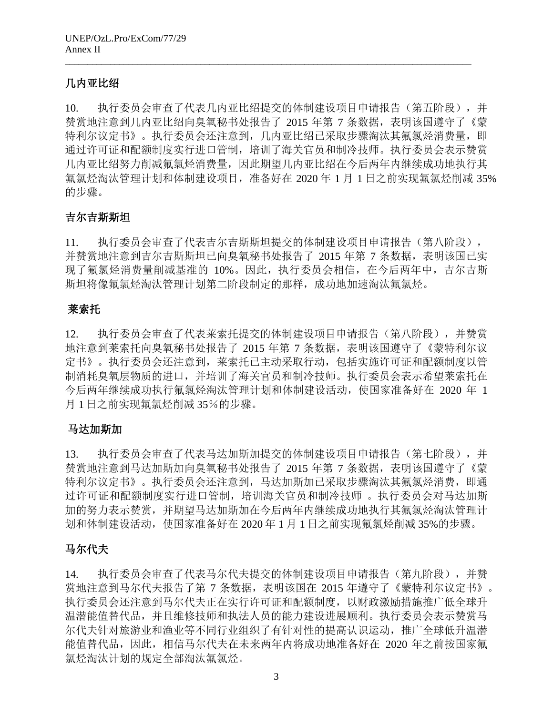# 几内亚比绍

10. 执行委员会审查了代表几内亚比绍提交的体制建设项目申请报告(第五阶段),并 赞赏地注意到几内亚比绍向臭氧秘书处报告了 2015 年第 7 条数据,表明该国遵守了《蒙 特利尔议定书》。执行委员会还注意到,几内亚比绍己采取步骤淘汰其氟氯烃消费量,即 通过许可证和配额制度实行进口管制,培训了海关官员和制冷技师。执行委员会表示赞赏 几内亚比绍努力削减氟氯烃消费量,因此期望几内亚比绍在今后两年内继续成功地执行其 氟氯烃淘汰管理计划和体制建设项目,准备好在 2020 年 1 月 1 日之前实现氟氯烃削减 35% 的步骤。

\_\_\_\_\_\_\_\_\_\_\_\_\_\_\_\_\_\_\_\_\_\_\_\_\_\_\_\_\_\_\_\_\_\_\_\_\_\_\_\_\_\_\_\_\_\_\_\_\_\_\_\_\_\_\_\_\_\_\_\_\_\_\_\_\_\_\_\_\_\_\_\_\_\_\_\_\_\_\_\_\_\_\_\_\_\_\_\_\_\_

# 吉尔吉斯斯坦

11. 执行委员会审查了代表吉尔吉斯斯坦提交的体制建设项目申请报告(第八阶段), 并赞赏地注意到吉尔吉斯斯坦己向臭氧秘书处报告了 2015 年第 7 条数据,表明该国已实 现了氟氯烃消费量削减基准的 10%。因此,执行委员会相信,在今后两年中,吉尔吉斯 斯坦将像氟氯烃淘汰管理计划第二阶段制定的那样,成功地加速淘汰氟氯烃。

# 莱索托

12. 执行委员会审查了代表莱索托提交的体制建设项目申请报告(第八阶段),并赞赏 地注意到莱索托向臭氧秘书处报告了 2015 年第 7 条数据,表明该国遵守了《蒙特利尔议 定书》。执行委员会还注意到,莱索托已主动采取行动,包括实施许可证和配额制度以管 制消耗臭氧层物质的进口,并培训了海关官员和制冷技师。执行委员会表示希望莱索托在 今后两年继续成功执行氟氯烃淘汰管理计划和体制建设活动,使国家准备好在 2020 年 1 月 1 日之前实现氟氯烃削减 35%的步骤。

# 马达加斯加

13. 执行委员会审查了代表马达加斯加提交的体制建设项目申请报告(第七阶段),并 赞赏地注意到马达加斯加向臭氧秘书处报告了 2015 年第 7 条数据,表明该国遵守了《蒙 特利尔议定书》。执行委员会还注意到,马达加斯加已采取步骤淘汰其氟氯烃消费,即通 过许可证和配额制度实行进口管制,培训海关官员和制冷技师 。执行委员会对马达加斯 加的努力表示赞赏,并期望马达加斯加在今后两年内继续成功地执行其氟氯烃淘汰管理计 划和体制建设活动,使国家准备好在 2020 年 1 月 1 日之前实现氟氯烃削减 35%的步骤。

# 马尔代夫

14. 执行委员会审查了代表马尔代夫提交的体制建设项目申请报告(第九阶段),并赞 赏地注意到马尔代夫报告了第 7 条数据,表明该国在 2015 年遵守了《蒙特利尔议定书》。 执行委员会还注意到马尔代夫正在实行许可证和配额制度,以财政激励措施推广低全球升 温潜能值替代品,并且维修技师和执法人员的能力建设进展顺利。执行委员会表示赞赏马 尔代夫针对旅游业和渔业等不同行业组织了有针对性的提高认识运动,推广全球低升温潜 能值替代品,因此,相信马尔代夫在未来两年内将成功地准备好在 2020 年之前按国家氟 氯烃淘汰计划的规定全部淘汰氟氯烃。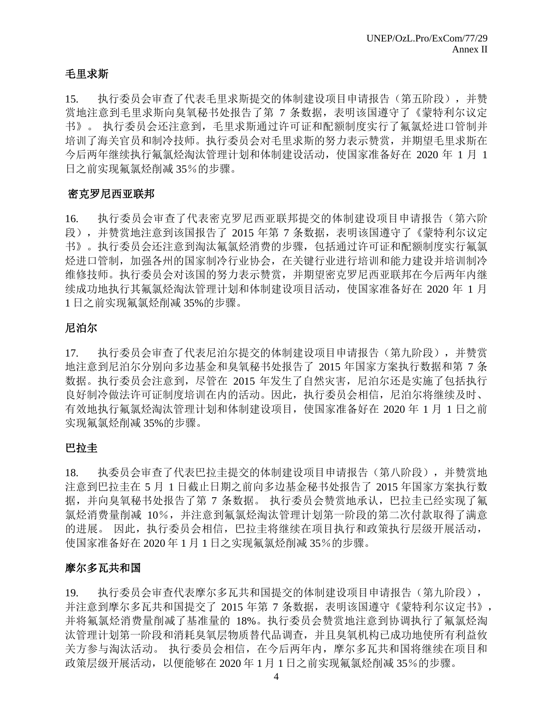# 毛里求斯

15. 执行委员会审查了代表毛里求斯提交的体制建设项目申请报告(第五阶段),并赞 赏地注意到毛里求斯向臭氧秘书处报告了第 7 条数据,表明该国遵守了《蒙特利尔议定 书》。 执行委员会还注意到,毛里求斯通过许可证和配额制度实行了氟氯烃进口管制并 培训了海关官员和制冷技师。执行委员会对毛里求斯的努力表示赞赏,并期望毛里求斯在 今后两年继续执行氟氯烃淘汰管理计划和体制建设活动,使国家准备好在 2020 年 1 月 1 日之前实现氟氯烃削减 35%的步骤。

# 密克罗尼西亚联邦

16. 执行委员会审查了代表密克罗尼西亚联邦提交的体制建设项目申请报告(第六阶 段),并赞赏地注意到该国报告了 2015 年第 7 条数据,表明该国遵守了《蒙特利尔议定 书》。执行委员会还注意到淘汰氟氯烃消费的步骤,包括通过许可证和配额制度实行氟氯 烃进口管制,加强各州的国家制冷行业协会,在关键行业进行培训和能力建设并培训制冷 维修技师。执行委员会对该国的努力表示赞赏,并期望密克罗尼西亚联邦在今后两年内继 续成功地执行其氟氯烃淘汰管理计划和体制建设项目活动,使国家准备好在 2020 年 1 月 1 日之前实现氟氯烃削减 35%的步骤。

# 尼泊尔

17. 执行委员会审查了代表尼泊尔提交的体制建设项目申请报告(第九阶段),并赞赏 地注意到尼泊尔分别向多边基金和臭氧秘书处报告了 2015 年国家方案执行数据和第 7 条 数据。执行委员会注意到,尽管在 2015 年发生了自然灾害,尼泊尔还是实施了包括执行 良好制冷做法许可证制度培训在内的活动。因此,执行委员会相信,尼泊尔将继续及时、 有效地执行氟氯烃淘汰管理计划和体制建设项目,使国家准备好在 2020 年 1 月 1 日之前 实现氟氯烃削减 35%的步骤。

# 巴拉圭

18. 执委员会审查了代表巴拉圭提交的体制建设项目申请报告(第八阶段),并赞赏地 注意到巴拉圭在 5 月 1 日截止日期之前向多边基金秘书处报告了 2015 年国家方案执行数 据,并向臭氧秘书处报告了第 7 条数据。执行委员会赞赏地承认,巴拉圭已经实现了氟 氯烃消费量削减 10%,并注意到氟氯烃淘汰管理计划第一阶段的第二次付款取得了满意 的进展。 因此,执行委员会相信,巴拉圭将继续在项目执行和政策执行层级开展活动, 使国家准备好在 2020 年 1 月 1 日之实现氟氯烃削减 35%的步骤。

# 摩尔多瓦共和国

19. 执行委员会审查代表摩尔多瓦共和国提交的体制建设项目申请报告(第九阶段), 并注意到摩尔多瓦共和国提交了 2015 年第 7 条数据,表明该国遵守《蒙特利尔议定书》, 并将氟氯烃消费量削减了基准量的 18%。执行委员会赞赏地注意到协调执行了氟氯烃淘 汰管理计划第一阶段和消耗臭氧层物质替代品调查,并且臭氧机构已成功地使所有利益攸 关方参与淘汰活动。 执行委员会相信,在今后两年内,摩尔多瓦共和国将继续在项目和 政策层级开展活动,以便能够在 2020 年 1 月 1 日之前实现氟氯烃削减 35%的步骤。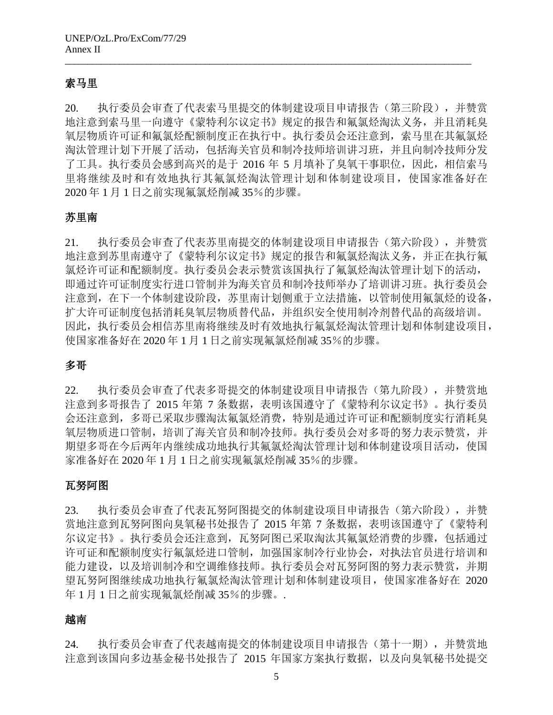# 索马里

20. 执行委员会审查了代表索马里提交的体制建设项目申请报告(第三阶段),并赞赏 地注意到索马里一向遵守《蒙特利尔议定书》规定的报告和氟氯烃淘汰义务,并且消耗臭 氧层物质许可证和氟氯烃配额制度正在执行中。执行委员会还注意到,索马里在其氟氯烃 淘汰管理计划下开展了活动,包括海关官员和制冷技师培训讲习班,并且向制冷技师分发 了工具。执行委员会感到高兴的是于 2016 年 5 月填补了臭氧干事职位,因此,相信索马 里将继续及时和有效地执行其氟氯烃淘汰管理计划和体制建设项目,使国家准备好在 2020 年 1 月 1 日之前实现氟氯烃削减 35%的步骤。

\_\_\_\_\_\_\_\_\_\_\_\_\_\_\_\_\_\_\_\_\_\_\_\_\_\_\_\_\_\_\_\_\_\_\_\_\_\_\_\_\_\_\_\_\_\_\_\_\_\_\_\_\_\_\_\_\_\_\_\_\_\_\_\_\_\_\_\_\_\_\_\_\_\_\_\_\_\_\_\_\_\_\_\_\_\_\_\_\_\_

## 苏里南

21. 执行委员会审查了代表苏里南提交的体制建设项目申请报告(第六阶段),并赞赏 地注意到苏里南遵守了《蒙特利尔议定书》规定的报告和氟氯烃淘汰义务,并正在执行氟 氯烃许可证和配额制度。执行委员会表示赞赏该国执行了氟氯烃淘汰管理计划下的活动, 即通过许可证制度实行进口管制并为海关官员和制冷技师举办了培训讲习班。执行委员会 注意到,在下一个体制建设阶段,苏里南计划侧重于立法措施,以管制使用氟氯烃的设备, 扩大许可证制度包括消耗臭氧层物质替代品,并组织安全使用制冷剂替代品的高级培训。 因此,执行委员会相信苏里南将继续及时有效地执行氟氯烃淘汰管理计划和体制建设项目, 使国家准备好在 2020 年 1 月 1 日之前实现氟氯烃削减 35%的步骤。

# 多哥

22. 执行委员会审查了代表多哥提交的体制建设项目申请报告(第九阶段),并赞赏地 注意到多哥报告了 2015 年第 7 条数据,表明该国遵守了《蒙特利尔议定书》。执行委员 会还注意到,多哥已采取步骤淘汰氟氯烃消费,特别是通过许可证和配额制度实行消耗臭 氧层物质进口管制,培训了海关官员和制冷技师。执行委员会对多哥的努力表示赞赏,并 期望多哥在今后两年内继续成功地执行其氟氯烃淘汰管理计划和体制建设项目活动,使国 家准备好在 2020 年 1 月 1 日之前实现氟氯烃削减 35%的步骤。

### 瓦努阿图

23. 执行委员会审查了代表瓦努阿图提交的体制建设项目申请报告(第六阶段),并赞 赏地注意到瓦努阿图向臭氧秘书处报告了 2015 年第 7 条数据,表明该国遵守了《蒙特利 尔议定书》。执行委员会还注意到,瓦努阿图已采取淘汰其氟氯烃消费的步骤,包括通过 许可证和配额制度实行氟氯烃进口管制,加强国家制冷行业协会,对执法官员进行培训和 能力建设,以及培训制冷和空调维修技师。执行委员会对瓦努阿图的努力表示赞赏,并期 望瓦努阿图继续成功地执行氟氯烃淘汰管理计划和体制建设项目,使国家准备好在 2020 年 1 月 1 日之前实现氟氯烃削减 35%的步骤。.

# 越南

24. 执行委员会审查了代表越南提交的体制建设项目申请报告(第十一期),并赞赏地 注意到该国向多边基金秘书处报告了 2015 年国家方案执行数据,以及向臭氧秘书处提交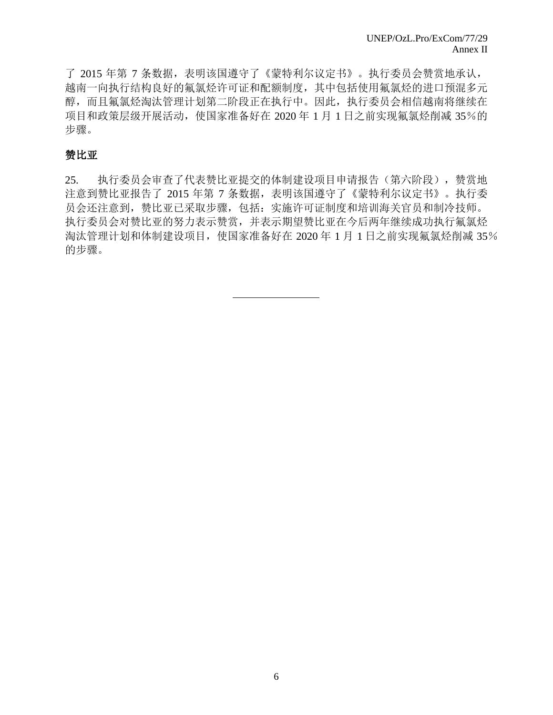了 2015 年第 7 条数据,表明该国遵守了《蒙特利尔议定书》。执行委员会赞赏地承认, 越南一向执行结构良好的氟氯烃许可证和配额制度,其中包括使用氟氯烃的进口预混多元 醇,而且氟氯烃淘汰管理计划第二阶段正在执行中。因此,执行委员会相信越南将继续在 项目和政策层级开展活动,使国家准备好在 2020 年 1 月 1 日之前实现氟氯烃削减 35%的 步骤。

# 赞比亚

25. 执行委员会审查了代表赞比亚提交的体制建设项目申请报告(第六阶段),赞赏地 注意到赞比亚报告了 2015 年第 7 条数据,表明该国遵守了《蒙特利尔议定书》。执行委 员会还注意到,赞比亚已采取步骤,包括:实施许可证制度和培训海关官员和制冷技师。 执行委员会对赞比亚的努力表示赞赏,并表示期望赞比亚在今后两年继续成功执行氟氯烃 淘汰管理计划和体制建设项目,使国家准备好在 2020 年 1 月 1 日之前实现氟氯烃削减 35% 的步骤。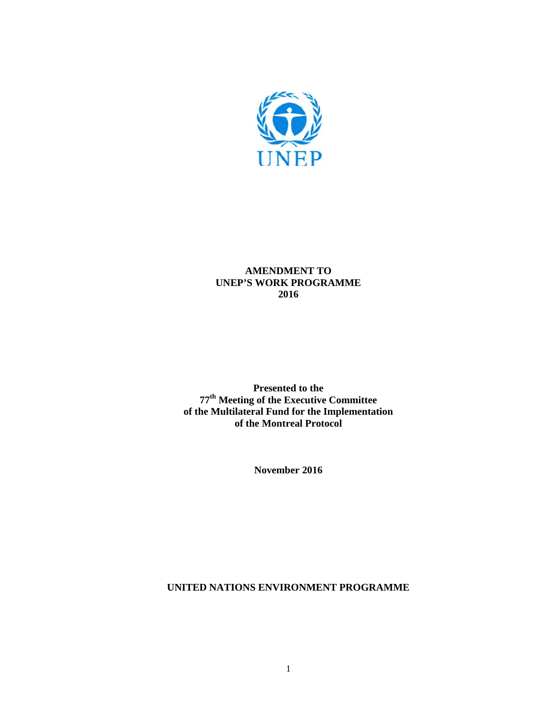

# **AMENDMENT TO UNEP'S WORK PROGRAMME 2016**

**Presented to the 77th Meeting of the Executive Committee of the Multilateral Fund for the Implementation of the Montreal Protocol** 

**November 2016** 

**UNITED NATIONS ENVIRONMENT PROGRAMME**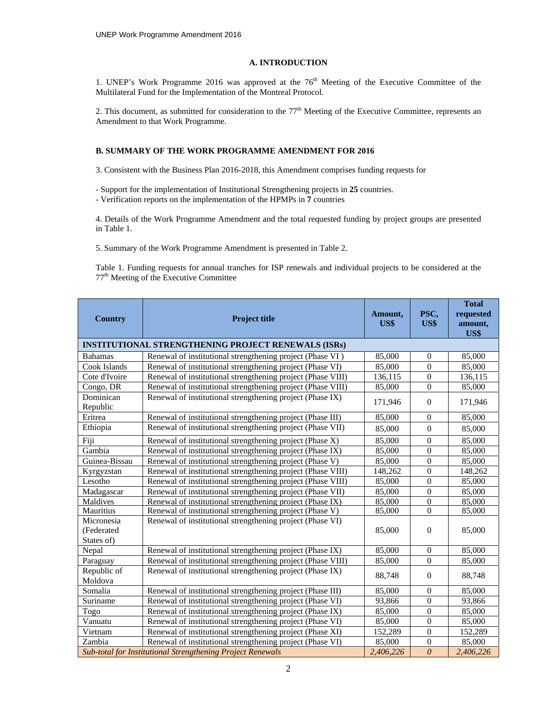#### **A. INTRODUCTION**

1. UNEP's Work Programme 2016 was approved at the 76<sup>th</sup> Meeting of the Executive Committee of the Multilateral Fund for the Implementation of the Montreal Protocol.

2. This document, as submitted for consideration to the  $77<sup>th</sup>$  Meeting of the Executive Committee, represents an Amendment to that Work Programme.

#### **B. SUMMARY OF THE WORK PROGRAMME AMENDMENT FOR 2016**

3. Consistent with the Business Plan 2016-2018, this Amendment comprises funding requests for

- Support for the implementation of Institutional Strengthening projects in **25** countries.

- Verification reports on the implementation of the HPMPs in **7** countries

4. Details of the Work Programme Amendment and the total requested funding by project groups are presented in Table 1.

5. Summary of the Work Programme Amendment is presented in Table 2.

Table 1. Funding requests for annual tranches for ISP renewals and individual projects to be considered at the 77th Meeting of the Executive Committee

|                                                                                                         |                                                             |         |                  | <b>Total</b> |
|---------------------------------------------------------------------------------------------------------|-------------------------------------------------------------|---------|------------------|--------------|
| <b>Country</b>                                                                                          | <b>Project title</b>                                        | Amount, | PSC,             | requested    |
|                                                                                                         |                                                             | US\$    | US\$             | amount,      |
|                                                                                                         |                                                             |         |                  | US\$         |
|                                                                                                         | <b>INSTITUTIONAL STRENGTHENING PROJECT RENEWALS (ISRs)</b>  |         |                  |              |
| <b>Bahamas</b>                                                                                          | Renewal of institutional strengthening project (Phase VI)   | 85,000  | $\overline{0}$   | 85,000       |
| Cook Islands                                                                                            | Renewal of institutional strengthening project (Phase VI)   | 85,000  | $\overline{0}$   | 85,000       |
| Cote d'Ivoire                                                                                           | Renewal of institutional strengthening project (Phase VIII) | 136,115 | $\overline{0}$   | 136,115      |
| Congo, DR                                                                                               | Renewal of institutional strengthening project (Phase VIII) | 85,000  | $\Omega$         | 85,000       |
| Dominican<br>Republic                                                                                   | Renewal of institutional strengthening project (Phase IX)   | 171,946 | $\Omega$         | 171,946      |
| Eritrea                                                                                                 | Renewal of institutional strengthening project (Phase III)  | 85,000  | $\Omega$         | 85,000       |
| Ethiopia                                                                                                | Renewal of institutional strengthening project (Phase VII)  | 85,000  | $\Omega$         | 85,000       |
| Fiji                                                                                                    | Renewal of institutional strengthening project (Phase X)    | 85,000  | $\Omega$         | 85,000       |
| Gambia                                                                                                  | Renewal of institutional strengthening project (Phase IX)   | 85,000  | $\Omega$         | 85,000       |
| Guinea-Bissau                                                                                           | Renewal of institutional strengthening project (Phase V)    | 85,000  | $\Omega$         | 85,000       |
| Kyrgyzstan                                                                                              | Renewal of institutional strengthening project (Phase VIII) | 148,262 | $\mathbf{0}$     | 148,262      |
| Lesotho                                                                                                 | Renewal of institutional strengthening project (Phase VIII) | 85,000  | $\overline{0}$   | 85,000       |
| Madagascar                                                                                              | Renewal of institutional strengthening project (Phase VII)  | 85,000  | $\overline{0}$   | 85,000       |
| Maldives                                                                                                | Renewal of institutional strengthening project (Phase IX)   | 85,000  | $\Omega$         | 85,000       |
| Mauritius                                                                                               | Renewal of institutional strengthening project (Phase V)    | 85,000  | $\mathbf{0}$     | 85,000       |
| Micronesia<br>(Federated                                                                                | Renewal of institutional strengthening project (Phase VI)   | 85,000  | $\overline{0}$   | 85,000       |
| States of)                                                                                              |                                                             |         |                  |              |
| Nepal                                                                                                   | Renewal of institutional strengthening project (Phase IX)   | 85,000  | $\Omega$         | 85,000       |
| Paraguay                                                                                                | Renewal of institutional strengthening project (Phase VIII) | 85,000  | $\Omega$         | 85,000       |
| Republic of<br>Moldova                                                                                  | Renewal of institutional strengthening project (Phase IX)   | 88,748  | $\Omega$         | 88,748       |
| Somalia                                                                                                 | Renewal of institutional strengthening project (Phase III)  | 85,000  | $\Omega$         | 85,000       |
| Suriname                                                                                                | Renewal of institutional strengthening project (Phase VI)   | 93,866  | $\overline{0}$   | 93,866       |
| Togo                                                                                                    | Renewal of institutional strengthening project (Phase IX)   | 85,000  | $\overline{0}$   | 85,000       |
| Vanuatu                                                                                                 | Renewal of institutional strengthening project (Phase VI)   | 85,000  | $\boldsymbol{0}$ | 85,000       |
| Vietnam                                                                                                 | Renewal of institutional strengthening project (Phase XI)   | 152,289 | $\Omega$         | 152,289      |
| Zambia                                                                                                  | Renewal of institutional strengthening project (Phase VI)   | 85,000  | $\mathbf{0}$     | 85,000       |
| $\theta$<br><b>Sub-total for Institutional Strengthening Project Renewals</b><br>2,406,226<br>2,406,226 |                                                             |         |                  |              |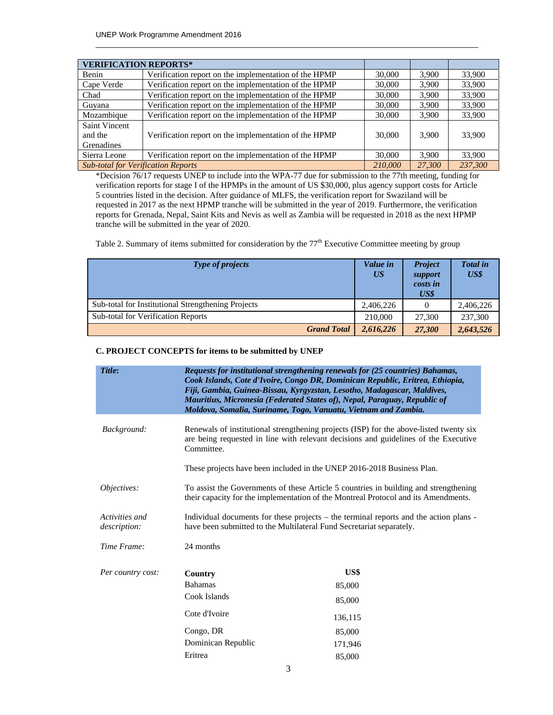| <b>VERIFICATION REPORTS*</b>                         |                                                       |        |        |         |
|------------------------------------------------------|-------------------------------------------------------|--------|--------|---------|
| Benin                                                | Verification report on the implementation of the HPMP | 30,000 | 3.900  | 33,900  |
| Cape Verde                                           | Verification report on the implementation of the HPMP | 30,000 | 3.900  | 33,900  |
| Chad                                                 | Verification report on the implementation of the HPMP | 30,000 | 3,900  | 33,900  |
| Guyana                                               | Verification report on the implementation of the HPMP | 30,000 | 3.900  | 33,900  |
| Mozambique                                           | Verification report on the implementation of the HPMP | 30,000 | 3.900  | 33,900  |
| Saint Vincent                                        |                                                       |        |        |         |
| and the                                              | Verification report on the implementation of the HPMP | 30,000 | 3.900  | 33.900  |
| Grenadines                                           |                                                       |        |        |         |
| Sierra Leone                                         | Verification report on the implementation of the HPMP | 30,000 | 3.900  | 33,900  |
| <b>Sub-total for Verification Reports</b><br>210,000 |                                                       |        | 27,300 | 237,300 |

 $\_$  , and the set of the set of the set of the set of the set of the set of the set of the set of the set of the set of the set of the set of the set of the set of the set of the set of the set of the set of the set of th

\*Decision 76/17 requests UNEP to include into the WPA-77 due for submission to the 77th meeting, funding for verification reports for stage I of the HPMPs in the amount of US \$30,000, plus agency support costs for Article 5 countries listed in the decision. After guidance of MLFS, the verification report for Swaziland will be requested in 2017 as the next HPMP tranche will be submitted in the year of 2019. Furthermore, the verification reports for Grenada, Nepal, Saint Kits and Nevis as well as Zambia will be requested in 2018 as the next HPMP tranche will be submitted in the year of 2020.

Table 2. Summary of items submitted for consideration by the  $77<sup>th</sup>$  Executive Committee meeting by group

| <b>Type of projects</b>                            | Value in<br>US <sup>-</sup> | <b>Project</b><br>support<br>costs in<br>US\$ | <b>Total</b> in<br>US\$ |
|----------------------------------------------------|-----------------------------|-----------------------------------------------|-------------------------|
| Sub-total for Institutional Strengthening Projects | 2,406,226                   | $\Omega$                                      | 2,406,226               |
| <b>Sub-total for Verification Reports</b>          | 210,000                     | 27,300                                        | 237,300                 |
| <b>Grand Total</b>                                 | 2,616,226                   | 27,300                                        | 2,643,526               |

#### **C. PROJECT CONCEPTS for items to be submitted by UNEP**

| Title:                         | Requests for institutional strengthening renewals for (25 countries) Bahamas,<br>Cook Islands, Cote d'Ivoire, Congo DR, Dominican Republic, Eritrea, Ethiopia,<br>Fiji, Gambia, Guinea-Bissau, Kyrgyzstan, Lesotho, Madagascar, Maldives,<br>Mauritius, Micronesia (Federated States of), Nepal, Paraguay, Republic of<br>Moldova, Somalia, Suriname, Togo, Vanuatu, Vietnam and Zambia. |                                                                        |  |
|--------------------------------|------------------------------------------------------------------------------------------------------------------------------------------------------------------------------------------------------------------------------------------------------------------------------------------------------------------------------------------------------------------------------------------|------------------------------------------------------------------------|--|
| Background:                    | Renewals of institutional strengthening projects (ISP) for the above-listed twenty six<br>are being requested in line with relevant decisions and guidelines of the Executive<br>Committee.                                                                                                                                                                                              |                                                                        |  |
|                                |                                                                                                                                                                                                                                                                                                                                                                                          | These projects have been included in the UNEP 2016-2018 Business Plan. |  |
| <i>Objectives:</i>             | To assist the Governments of these Article 5 countries in building and strengthening<br>their capacity for the implementation of the Montreal Protocol and its Amendments.                                                                                                                                                                                                               |                                                                        |  |
| Activities and<br>description: | Individual documents for these projects – the terminal reports and the action plans -<br>have been submitted to the Multilateral Fund Secretariat separately.                                                                                                                                                                                                                            |                                                                        |  |
| Time Frame:                    | 24 months                                                                                                                                                                                                                                                                                                                                                                                |                                                                        |  |
| Per country cost:              | Country                                                                                                                                                                                                                                                                                                                                                                                  | US\$                                                                   |  |
|                                | <b>Bahamas</b>                                                                                                                                                                                                                                                                                                                                                                           | 85,000                                                                 |  |
|                                | Cook Islands                                                                                                                                                                                                                                                                                                                                                                             | 85,000                                                                 |  |
|                                | Cote d'Ivoire                                                                                                                                                                                                                                                                                                                                                                            | 136,115                                                                |  |
|                                | Congo, DR                                                                                                                                                                                                                                                                                                                                                                                | 85,000                                                                 |  |
|                                | Dominican Republic                                                                                                                                                                                                                                                                                                                                                                       | 171,946                                                                |  |
|                                | Eritrea                                                                                                                                                                                                                                                                                                                                                                                  | 85,000                                                                 |  |